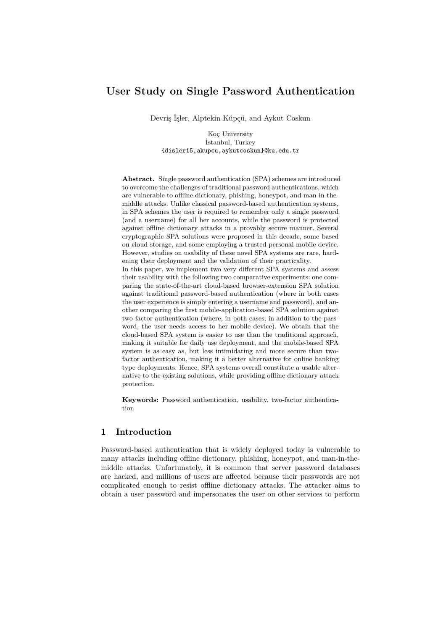## **User Study on Single Password Authentication**

Devriş İşler, Alptekin Küpçü, and Aykut Coskun

Koç University İstanbul, Turkey {disler15,akupcu,aykutcoskun}@ku.edu.tr

**Abstract.** Single password authentication (SPA) schemes are introduced to overcome the challenges of traditional password authentications, which are vulnerable to offline dictionary, phishing, honeypot, and man-in-themiddle attacks. Unlike classical password-based authentication systems, in SPA schemes the user is required to remember only a single password (and a username) for all her accounts, while the password is protected against offline dictionary attacks in a provably secure manner. Several cryptographic SPA solutions were proposed in this decade, some based on cloud storage, and some employing a trusted personal mobile device. However, studies on usability of these novel SPA systems are rare, hardening their deployment and the validation of their practicality.

In this paper, we implement two very different SPA systems and assess their usability with the following two comparative experiments: one comparing the state-of-the-art cloud-based browser-extension SPA solution against traditional password-based authentication (where in both cases the user experience is simply entering a username and password), and another comparing the first mobile-application-based SPA solution against two-factor authentication (where, in both cases, in addition to the password, the user needs access to her mobile device). We obtain that the cloud-based SPA system is easier to use than the traditional approach, making it suitable for daily use deployment, and the mobile-based SPA system is as easy as, but less intimidating and more secure than twofactor authentication, making it a better alternative for online banking type deployments. Hence, SPA systems overall constitute a usable alternative to the existing solutions, while providing offline dictionary attack protection.

**Keywords:** Password authentication, usability, two-factor authentication

## **1 Introduction**

Password-based authentication that is widely deployed today is vulnerable to many attacks including offline dictionary, phishing, honeypot, and man-in-themiddle attacks. Unfortunately, it is common that server password databases are hacked, and millions of users are affected because their passwords are not complicated enough to resist offline dictionary attacks. The attacker aims to obtain a user password and impersonates the user on other services to perform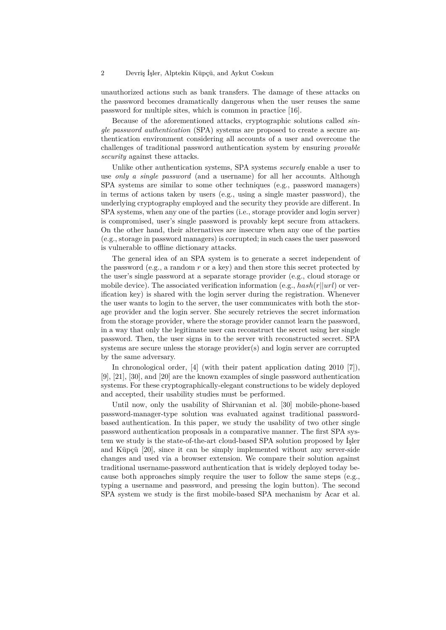unauthorized actions such as bank transfers. The damage of these attacks on the password becomes dramatically dangerous when the user reuses the same password for multiple sites, which is common in practice [16].

Because of the aforementioned attacks, cryptographic solutions called *single password authentication* (SPA) systems are proposed to create a secure authentication environment considering all accounts of a user and overcome the challenges of traditional password authentication system by ensuring *provable security* against these attacks.

Unlike other authentication systems, SPA systems *securely* enable a user to use *only a single password* (and a username) for all her accounts. Although SPA systems are similar to some other techniques (e.g., password managers) in terms of actions taken by users (e.g., using a single master password), the underlying cryptography employed and the security they provide are different. In SPA systems, when any one of the parties (i.e., storage provider and login server) is compromised, user's single password is provably kept secure from attackers. On the other hand, their alternatives are insecure when any one of the parties (e.g., storage in password managers) is corrupted; in such cases the user password is vulnerable to offline dictionary attacks.

The general idea of an SPA system is to generate a secret independent of the password (e.g., a random *r* or a key) and then store this secret protected by the user's single password at a separate storage provider (e.g., cloud storage or mobile device). The associated verification information (e.g., *hash*(*r*||*url*) or verification key) is shared with the login server during the registration. Whenever the user wants to login to the server, the user communicates with both the storage provider and the login server. She securely retrieves the secret information from the storage provider, where the storage provider cannot learn the password, in a way that only the legitimate user can reconstruct the secret using her single password. Then, the user signs in to the server with reconstructed secret. SPA systems are secure unless the storage provider(s) and login server are corrupted by the same adversary.

In chronological order, [4] (with their patent application dating 2010 [7]), [9], [21], [30], and [20] are the known examples of single password authentication systems. For these cryptographically-elegant constructions to be widely deployed and accepted, their usability studies must be performed.

Until now, only the usability of Shirvanian et al. [30] mobile-phone-based password-manager-type solution was evaluated against traditional passwordbased authentication. In this paper, we study the usability of two other single password authentication proposals in a comparative manner. The first SPA system we study is the state-of-the-art cloud-based SPA solution proposed by İşler and Küpçü [20], since it can be simply implemented without any server-side changes and used via a browser extension. We compare their solution against traditional username-password authentication that is widely deployed today because both approaches simply require the user to follow the same steps (e.g., typing a username and password, and pressing the login button). The second SPA system we study is the first mobile-based SPA mechanism by Acar et al.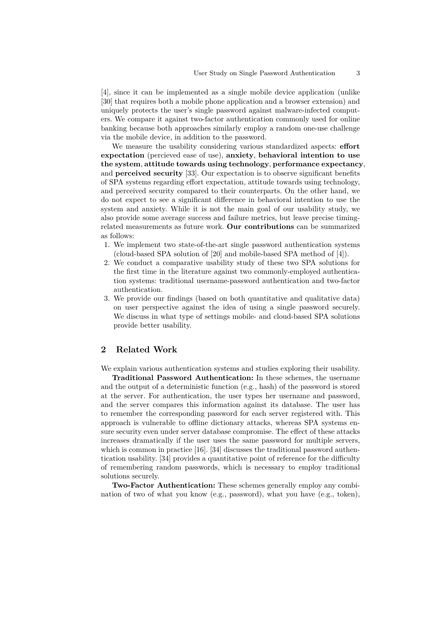[4], since it can be implemented as a single mobile device application (unlike [30] that requires both a mobile phone application and a browser extension) and uniquely protects the user's single password against malware-infected computers. We compare it against two-factor authentication commonly used for online banking because both approaches similarly employ a random one-use challenge via the mobile device, in addition to the password.

We measure the usability considering various standardized aspects: **effort expectation** (percieved ease of use), **anxiety**, **behavioral intention to use the system**, **attitude towards using technology**, **performance expectancy**, and **perceived security** [33]. Our expectation is to observe significant benefits of SPA systems regarding effort expectation, attitude towards using technology, and perceived security compared to their counterparts. On the other hand, we do not expect to see a significant difference in behavioral intention to use the system and anxiety. While it is not the main goal of our usability study, we also provide some average success and failure metrics, but leave precise timingrelated measurements as future work. **Our contributions** can be summarized as follows:

- 1. We implement two state-of-the-art single password authentication systems (cloud-based SPA solution of [20] and mobile-based SPA method of [4]).
- 2. We conduct a comparative usability study of these two SPA solutions for the first time in the literature against two commonly-employed authentication systems: traditional username-password authentication and two-factor authentication.
- 3. We provide our findings (based on both quantitative and qualitative data) on user perspective against the idea of using a single password securely. We discuss in what type of settings mobile- and cloud-based SPA solutions provide better usability.

## **2 Related Work**

We explain various authentication systems and studies exploring their usability.

**Traditional Password Authentication:** In these schemes, the username and the output of a deterministic function (e.g., hash) of the password is stored at the server. For authentication, the user types her username and password, and the server compares this information against its database. The user has to remember the corresponding password for each server registered with. This approach is vulnerable to offline dictionary attacks, whereas SPA systems ensure security even under server database compromise. The effect of these attacks increases dramatically if the user uses the same password for multiple servers, which is common in practice [16]. [34] discusses the traditional password authentication usability. [34] provides a quantitative point of reference for the difficulty of remembering random passwords, which is necessary to employ traditional solutions securely.

**Two-Factor Authentication:** These schemes generally employ any combination of two of what you know (e.g., password), what you have (e.g., token),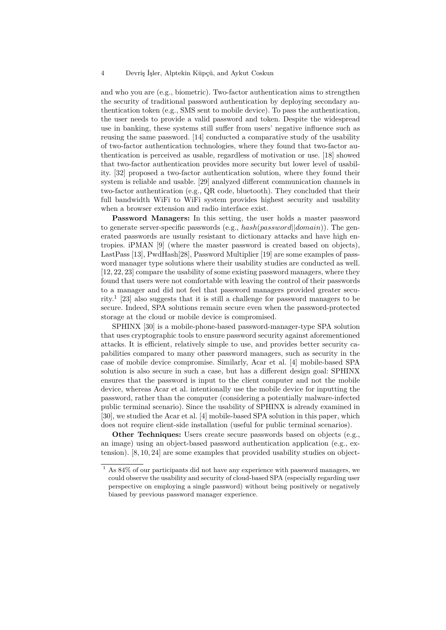and who you are (e.g., biometric). Two-factor authentication aims to strengthen the security of traditional password authentication by deploying secondary authentication token (e.g., SMS sent to mobile device). To pass the authentication, the user needs to provide a valid password and token. Despite the widespread use in banking, these systems still suffer from users' negative influence such as reusing the same password. [14] conducted a comparative study of the usability of two-factor authentication technologies, where they found that two-factor authentication is perceived as usable, regardless of motivation or use. [18] showed that two-factor authentication provides more security but lower level of usability. [32] proposed a two-factor authentication solution, where they found their system is reliable and usable. [29] analyzed different communication channels in two-factor authentication (e.g., QR code, bluetooth). They concluded that their full bandwidth WiFi to WiFi system provides highest security and usability when a browser extension and radio interface exist.

**Password Managers:** In this setting, the user holds a master password to generate server-specific passwords (e.g., *hash*(*password*||*domain*)). The generated passwords are usually resistant to dictionary attacks and have high entropies. iPMAN [9] (where the master password is created based on objects), LastPass [13], PwdHash[28], Password Multiplier [19] are some examples of password manager type solutions where their usability studies are conducted as well. [12, 22, 23] compare the usability of some existing password managers, where they found that users were not comfortable with leaving the control of their passwords to a manager and did not feel that password managers provided greater security.<sup>1</sup> [23] also suggests that it is still a challenge for password managers to be secure. Indeed, SPA solutions remain secure even when the password-protected storage at the cloud or mobile device is compromised.

SPHINX [30] is a mobile-phone-based password-manager-type SPA solution that uses cryptographic tools to ensure password security against aforementioned attacks. It is efficient, relatively simple to use, and provides better security capabilities compared to many other password managers, such as security in the case of mobile device compromise. Similarly, Acar et al. [4] mobile-based SPA solution is also secure in such a case, but has a different design goal: SPHINX ensures that the password is input to the client computer and not the mobile device, whereas Acar et al. intentionally use the mobile device for inputting the password, rather than the computer (considering a potentially malware-infected public terminal scenario). Since the usability of SPHINX is already examined in [30], we studied the Acar et al. [4] mobile-based SPA solution in this paper, which does not require client-side installation (useful for public terminal scenarios).

**Other Techniques:** Users create secure passwords based on objects (e.g., an image) using an object-based password authentication application (e.g., extension). [8, 10, 24] are some examples that provided usability studies on object-

 $^{\rm 1}$  As 84% of our participants did not have any experience with password managers, we could observe the usability and security of cloud-based SPA (especially regarding user perspective on employing a single password) without being positively or negatively biased by previous password manager experience.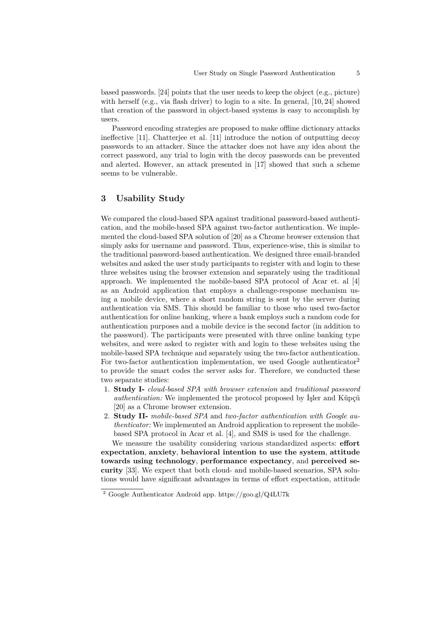based passwords. [24] points that the user needs to keep the object (e.g., picture) with herself (e.g., via flash driver) to login to a site. In general, [10, 24] showed that creation of the password in object-based systems is easy to accomplish by users.

Password encoding strategies are proposed to make offline dictionary attacks ineffective [11]. Chatterjee et al. [11] introduce the notion of outputting decoy passwords to an attacker. Since the attacker does not have any idea about the correct password, any trial to login with the decoy passwords can be prevented and alerted. However, an attack presented in [17] showed that such a scheme seems to be vulnerable.

## **3 Usability Study**

We compared the cloud-based SPA against traditional password-based authentication, and the mobile-based SPA against two-factor authentication. We implemented the cloud-based SPA solution of [20] as a Chrome browser extension that simply asks for username and password. Thus, experience-wise, this is similar to the traditional password-based authentication. We designed three email-branded websites and asked the user study participants to register with and login to these three websites using the browser extension and separately using the traditional approach. We implemented the mobile-based SPA protocol of Acar et. al [4] as an Android application that employs a challenge-response mechanism using a mobile device, where a short random string is sent by the server during authentication via SMS. This should be familiar to those who used two-factor authentication for online banking, where a bank employs such a random code for authentication purposes and a mobile device is the second factor (in addition to the password). The participants were presented with three online banking type websites, and were asked to register with and login to these websites using the mobile-based SPA technique and separately using the two-factor authentication. For two-factor authentication implementation, we used Google authenticator<sup>2</sup> to provide the smart codes the server asks for. Therefore, we conducted these two separate studies:

- 1. **Study I-** *cloud-based SPA with browser extension* and *traditional password authentication:* We implemented the protocol proposed by İşler and Küpçü [20] as a Chrome browser extension.
- 2. **Study II-** *mobile-based SPA* and *two-factor authentication with Google authenticator:* We implemented an Android application to represent the mobilebased SPA protocol in Acar et al. [4], and SMS is used for the challenge.

We measure the usability considering various standardized aspects: **effort expectation**, **anxiety**, **behavioral intention to use the system**, **attitude towards using technology**, **performance expectancy**, and **perceived security** [33]. We expect that both cloud- and mobile-based scenarios, SPA solutions would have significant advantages in terms of effort expectation, attitude

<sup>2</sup> Google Authenticator Android app. https://goo.gl/Q4LU7k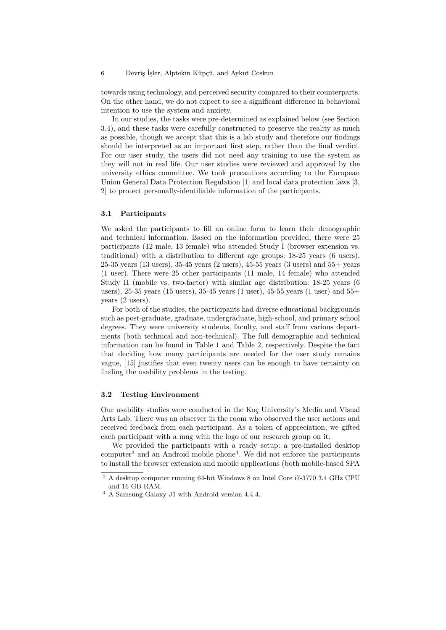towards using technology, and perceived security compared to their counterparts. On the other hand, we do not expect to see a significant difference in behavioral intention to use the system and anxiety.

In our studies, the tasks were pre-determined as explained below (see Section 3.4), and these tasks were carefully constructed to preserve the reality as much as possible, though we accept that this is a lab study and therefore our findings should be interpreted as an important first step, rather than the final verdict. For our user study, the users did not need any training to use the system as they will not in real life. Our user studies were reviewed and approved by the university ethics committee. We took precautions according to the European Union General Data Protection Regulation [1] and local data protection laws [3, 2] to protect personally-identifiable information of the participants.

#### **3.1 Participants**

We asked the participants to fill an online form to learn their demographic and technical information. Based on the information provided, there were 25 participants (12 male, 13 female) who attended Study I (browser extension vs. traditional) with a distribution to different age groups: 18-25 years (6 users), 25-35 years (13 users), 35-45 years (2 users), 45-55 years (3 users) and 55+ years (1 user). There were 25 other participants (11 male, 14 female) who attended Study II (mobile vs. two-factor) with similar age distribution: 18-25 years (6 users), 25-35 years (15 users), 35-45 years (1 user), 45-55 years (1 user) and 55+ years (2 users).

For both of the studies, the participants had diverse educational backgrounds such as post-graduate, graduate, undergraduate, high-school, and primary school degrees. They were university students, faculty, and staff from various departments (both technical and non-technical). The full demographic and technical information can be found in Table 1 and Table 2, respectively. Despite the fact that deciding how many participants are needed for the user study remains vague, [15] justifies that even twenty users can be enough to have certainty on finding the usability problems in the testing.

#### **3.2 Testing Environment**

Our usability studies were conducted in the Koç University's Media and Visual Arts Lab. There was an observer in the room who observed the user actions and received feedback from each participant. As a token of appreciation, we gifted each participant with a mug with the logo of our research group on it.

We provided the participants with a ready setup: a pre-installed desktop computer<sup>3</sup> and an Android mobile phone<sup>4</sup>. We did not enforce the participants to install the browser extension and mobile applications (both mobile-based SPA

 $^3$  A desktop computer running 64-bit Windows 8 on Intel Core i7-3770  $3.4$  GHz CPU  $\,$ and 16 GB RAM.

<sup>4</sup> A Samsung Galaxy J1 with Android version 4.4.4.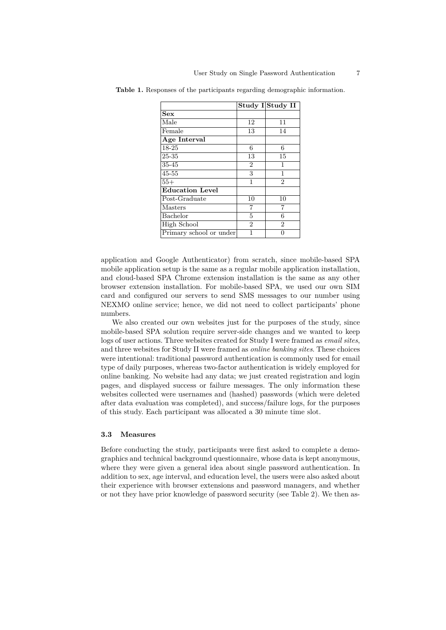|                         |                | Study I Study II  |
|-------------------------|----------------|-------------------|
| <b>Sex</b>              |                |                   |
| Male                    | 12             | 11                |
| Female                  | 13             | 14                |
| Age Interval            |                |                   |
| 18-25                   | 6              | 6                 |
| 25-35                   | 13             | 15                |
| 35-45                   | $\overline{2}$ | 1                 |
| $45 - 55$               | 3              | 1                 |
| $55+$                   | 1              | $\mathcal{D}_{1}$ |
| <b>Education Level</b>  |                |                   |
| Post-Graduate           | 10             | 10                |
| Masters                 | 7              | 7                 |
| Bachelor                | 5              | 6                 |
| High School             | $\overline{2}$ | $\overline{2}$    |
| Primary school or under | 1              |                   |

**Table 1.** Responses of the participants regarding demographic information.

application and Google Authenticator) from scratch, since mobile-based SPA mobile application setup is the same as a regular mobile application installation, and cloud-based SPA Chrome extension installation is the same as any other browser extension installation. For mobile-based SPA, we used our own SIM card and configured our servers to send SMS messages to our number using NEXMO online service; hence, we did not need to collect participants' phone numbers.

We also created our own websites just for the purposes of the study, since mobile-based SPA solution require server-side changes and we wanted to keep logs of user actions. Three websites created for Study I were framed as *email sites*, and three websites for Study II were framed as *online banking sites*. These choices were intentional: traditional password authentication is commonly used for email type of daily purposes, whereas two-factor authentication is widely employed for online banking. No website had any data; we just created registration and login pages, and displayed success or failure messages. The only information these websites collected were usernames and (hashed) passwords (which were deleted after data evaluation was completed), and success/failure logs, for the purposes of this study. Each participant was allocated a 30 minute time slot.

#### **3.3 Measures**

Before conducting the study, participants were first asked to complete a demographics and technical background questionnaire, whose data is kept anonymous, where they were given a general idea about single password authentication. In addition to sex, age interval, and education level, the users were also asked about their experience with browser extensions and password managers, and whether or not they have prior knowledge of password security (see Table 2). We then as-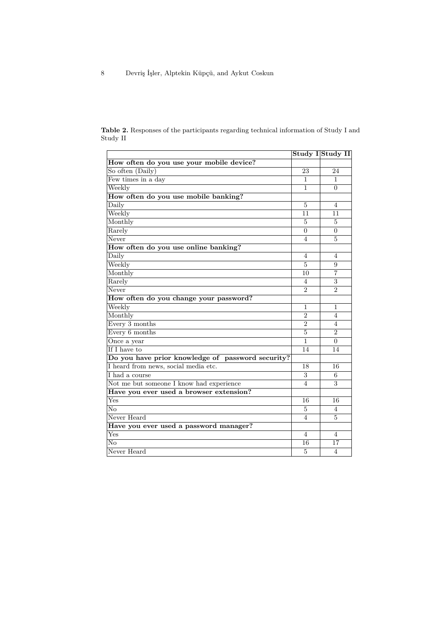| <b>Table 2.</b> Responses of the participants regarding technical information of Study I and |  |  |  |
|----------------------------------------------------------------------------------------------|--|--|--|
| Study II                                                                                     |  |  |  |

|                                                   |                | Study I Study II |
|---------------------------------------------------|----------------|------------------|
| How often do you use your mobile device?          |                |                  |
| So often (Daily)                                  | 23             | 24               |
| Few times in a day                                | 1              | 1                |
| Weekly                                            | 1              | $\Omega$         |
| How often do you use mobile banking?              |                |                  |
| Daily                                             | 5              | 4                |
| Weekly                                            | 11             | 11               |
| Monthly                                           | $\overline{5}$ | 5                |
| Rarely                                            | $\overline{0}$ | $\overline{0}$   |
| Never                                             | $\overline{4}$ | 5                |
| How often do you use online banking?              |                |                  |
| Daily                                             | 4              | 4                |
| Weekly                                            | 5              | 9                |
| Monthly                                           | 10             | $\overline{7}$   |
| Rarely                                            | 4              | 3                |
| Never                                             | $\overline{2}$ | $\overline{2}$   |
| How often do you change your password?            |                |                  |
| Weekly                                            | 1              | $\mathbf{1}$     |
| Monthly                                           | $\overline{2}$ | $\overline{4}$   |
| Every 3 months                                    | $\overline{2}$ | 4                |
| Every 6 months                                    | 5              | $\overline{2}$   |
| Once a year                                       | 1              | $\Omega$         |
| If I have to                                      | 14             | 14               |
| Do you have prior knowledge of password security? |                |                  |
| I heard from news, social media etc.              | 18             | 16               |
| I had a course                                    | 3              | 6                |
| Not me but someone I know had experience          | $\overline{4}$ | 3                |
| Have you ever used a browser extension?           |                |                  |
| Yes                                               | 16             | 16               |
| No                                                | 5              | $\overline{4}$   |
| Never Heard                                       | $\overline{4}$ | 5                |
| Have you ever used a password manager?            |                |                  |
| Yes                                               | $\overline{4}$ | $\overline{4}$   |
| No                                                | 16             | 17               |
| Never Heard                                       | 5              | 4                |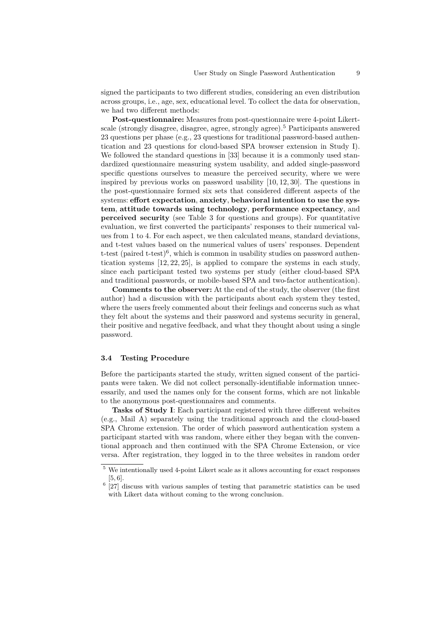signed the participants to two different studies, considering an even distribution across groups, i.e., age, sex, educational level. To collect the data for observation, we had two different methods:

**Post-questionnaire:** Measures from post-questionnaire were 4-point Likertscale (strongly disagree, disagree, agree, strongly agree).<sup>5</sup> Participants answered 23 questions per phase (e.g., 23 questions for traditional password-based authentication and 23 questions for cloud-based SPA browser extension in Study I). We followed the standard questions in [33] because it is a commonly used standardized questionnaire measuring system usability, and added single-password specific questions ourselves to measure the perceived security, where we were inspired by previous works on password usability [10, 12, 30]. The questions in the post-questionnaire formed six sets that considered different aspects of the systems: **effort expectation**, **anxiety**, **behavioral intention to use the system**, **attitude towards using technology**, **performance expectancy**, and **perceived security** (see Table 3 for questions and groups). For quantitative evaluation, we first converted the participants' responses to their numerical values from 1 to 4. For each aspect, we then calculated means, standard deviations, and t-test values based on the numerical values of users' responses. Dependent t-test (paired t-test)<sup>6</sup>, which is common in usability studies on password authentication systems [12, 22, 25], is applied to compare the systems in each study, since each participant tested two systems per study (either cloud-based SPA and traditional passwords, or mobile-based SPA and two-factor authentication).

**Comments to the observer:** At the end of the study, the observer (the first author) had a discussion with the participants about each system they tested, where the users freely commented about their feelings and concerns such as what they felt about the systems and their password and systems security in general, their positive and negative feedback, and what they thought about using a single password.

#### **3.4 Testing Procedure**

Before the participants started the study, written signed consent of the participants were taken. We did not collect personally-identifiable information unnecessarily, and used the names only for the consent forms, which are not linkable to the anonymous post-questionnaires and comments.

**Tasks of Study I**: Each participant registered with three different websites (e.g., Mail A) separately using the traditional approach and the cloud-based SPA Chrome extension. The order of which password authentication system a participant started with was random, where either they began with the conventional approach and then continued with the SPA Chrome Extension, or vice versa. After registration, they logged in to the three websites in random order

 $^{\rm 5}$  We intentionally used 4-point Likert scale as it allows accounting for exact responses [5, 6].

<sup>&</sup>lt;sup>6</sup> [27] discuss with various samples of testing that parametric statistics can be used with Likert data without coming to the wrong conclusion.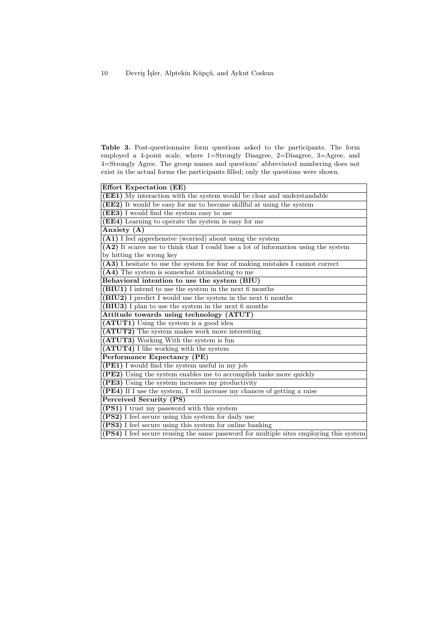**Table 3.** Post-questionnaire form questions asked to the participants. The form employed a 4-point scale, where 1=Strongly Disagree, 2=Disagree, 3=Agree, and 4=Strongly Agree. The group names and questions' abbreviated numbering does not exist in the actual forms the participants filled; only the questions were shown.

| Effort Expectation (EE)                                                                |
|----------------------------------------------------------------------------------------|
| (EE1) My interaction with the system would be clear and understandable                 |
| <b>(EE2)</b> It would be easy for me to become skillful at using the system            |
| (EE3) I would find the system easy to use                                              |
| (EE4) Learning to operate the system is easy for me                                    |
| Anxiety (A)                                                                            |
| (A1) I feel apprehensive (worried) about using the system                              |
| $(A2)$ It scares me to think that I could lose a lot of information using the system   |
| by hitting the wrong key                                                               |
| (A3) I hesitate to use the system for fear of making mistakes I cannot correct         |
| $(A4)$ The system is somewhat intimidating to me                                       |
| Behavioral intention to use the system (BIU)                                           |
| (BIU1) I intend to use the system in the next 6 months                                 |
| (BIU2) I predict I would use the system in the next 6 months                           |
| (BIU3) I plan to use the system in the next 6 months                                   |
| Attitude towards using technology (ATUT)                                               |
| (ATUT1) Using the system is a good idea                                                |
| (ATUT2) The system makes work more interesting                                         |
| (ATUT3) Working With the system is fun                                                 |
| (ATUT4) I like working with the system                                                 |
| Performance Expectancy (PE)                                                            |
| (PE1) I would find the system useful in my job                                         |
| (PE2) Using the system enables me to accomplish tasks more quickly                     |
| (PE3) Using the system increases my productivity                                       |
| (PE4) If I use the system, I will increase my chances of getting a raise               |
| Perceived Security (PS)                                                                |
| (PS1) I trust my password with this system                                             |
| (PS2) I feel secure using this system for daily use                                    |
| (PS3) I feel secure using this system for online banking                               |
| (PS4) I feel secure reusing the same password for multiple sites employing this system |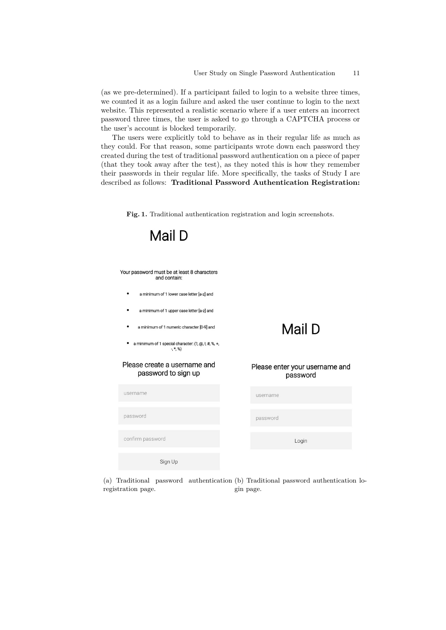(as we pre-determined). If a participant failed to login to a website three times, we counted it as a login failure and asked the user continue to login to the next website. This represented a realistic scenario where if a user enters an incorrect password three times, the user is asked to go through a CAPTCHA process or the user's account is blocked temporarily.

The users were explicitly told to behave as in their regular life as much as they could. For that reason, some participants wrote down each password they created during the test of traditional password authentication on a piece of paper (that they took away after the test), as they noted this is how they remember their passwords in their regular life. More specifically, the tasks of Study I are described as follows: **Traditional Password Authentication Registration:**

**Fig. 1.** Traditional authentication registration and login screenshots.



(a) Traditional password authentication (b) Traditional password authentication loregistration page. gin page.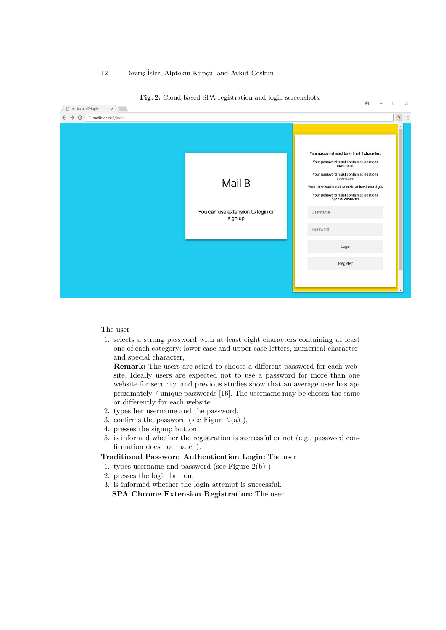|                                              | అ<br>$\overline{\phantom{a}}$<br>X                                                                                                                                                                                                                                              |
|----------------------------------------------|---------------------------------------------------------------------------------------------------------------------------------------------------------------------------------------------------------------------------------------------------------------------------------|
|                                              | $\Delta$<br>÷                                                                                                                                                                                                                                                                   |
|                                              |                                                                                                                                                                                                                                                                                 |
| Mail B                                       | Your password must be at least 8 characters<br>Your password must contain at least one<br>lowercase.<br>Your password must contain at least one<br>uppercase.<br>Your password must contain at least one digit.<br>Your password must contain at least one<br>special character |
| You can use extension to login or<br>sign up | Username<br>Password                                                                                                                                                                                                                                                            |
|                                              | Login                                                                                                                                                                                                                                                                           |
|                                              | Register<br>$\mathbf{v}$                                                                                                                                                                                                                                                        |
|                                              |                                                                                                                                                                                                                                                                                 |

**Fig. 2.** Cloud-based SPA registration and login screenshots.

#### The user

1. selects a strong password with at least eight characters containing at least one of each category: lower case and upper case letters, numerical character, and special character,

**Remark:** The users are asked to choose a different password for each website. Ideally users are expected not to use a password for more than one website for security, and previous studies show that an average user has approximately 7 unique passwords [16]. The username may be chosen the same or differently for each website.

- 2. types her username and the password,
- 3. confirms the password (see Figure  $2(a)$ ),
- 4. presses the signup button,
- 5. is informed whether the registration is successful or not (e.g., password confirmation does not match).

## **Traditional Password Authentication Login:** The user

- 1. types username and password (see Figure 2(b) ),
- 2. presses the login button,
- 3. is informed whether the login attempt is successful. **SPA Chrome Extension Registration:** The user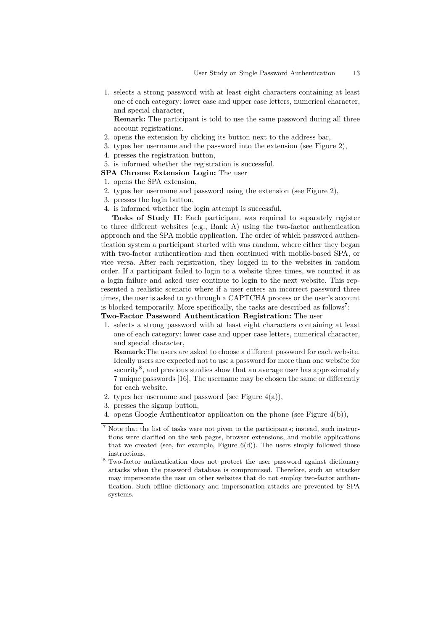1. selects a strong password with at least eight characters containing at least one of each category: lower case and upper case letters, numerical character, and special character,

**Remark:** The participant is told to use the same password during all three account registrations.

- 2. opens the extension by clicking its button next to the address bar,
- 3. types her username and the password into the extension (see Figure 2),
- 4. presses the registration button,
- 5. is informed whether the registration is successful.

#### **SPA Chrome Extension Login:** The user

- 1. opens the SPA extension,
- 2. types her username and password using the extension (see Figure 2),
- 3. presses the login button,
- 4. is informed whether the login attempt is successful.

**Tasks of Study II**: Each participant was required to separately register to three different websites (e.g., Bank A) using the two-factor authentication approach and the SPA mobile application. The order of which password authentication system a participant started with was random, where either they began with two-factor authentication and then continued with mobile-based SPA, or vice versa. After each registration, they logged in to the websites in random order. If a participant failed to login to a website three times, we counted it as a login failure and asked user continue to login to the next website. This represented a realistic scenario where if a user enters an incorrect password three times, the user is asked to go through a CAPTCHA process or the user's account is blocked temporarily. More specifically, the tasks are described as follows<sup>7</sup>:

## **Two-Factor Password Authentication Registration:** The user

1. selects a strong password with at least eight characters containing at least one of each category: lower case and upper case letters, numerical character, and special character,

**Remark:**The users are asked to choose a different password for each website. Ideally users are expected not to use a password for more than one website for security<sup>8</sup>, and previous studies show that an average user has approximately 7 unique passwords [16]. The username may be chosen the same or differently for each website.

- 2. types her username and password (see Figure  $4(a)$ ),
- 3. presses the signup button,
- 4. opens Google Authenticator application on the phone (see Figure 4(b)),

 $^7$  Note that the list of tasks were not given to the participants; instead, such instructions were clarified on the web pages, browser extensions, and mobile applications that we created (see, for example, Figure  $6(d)$ ). The users simply followed those instructions.

<sup>8</sup> Two-factor authentication does not protect the user password against dictionary attacks when the password database is compromised. Therefore, such an attacker may impersonate the user on other websites that do not employ two-factor authentication. Such offline dictionary and impersonation attacks are prevented by SPA systems.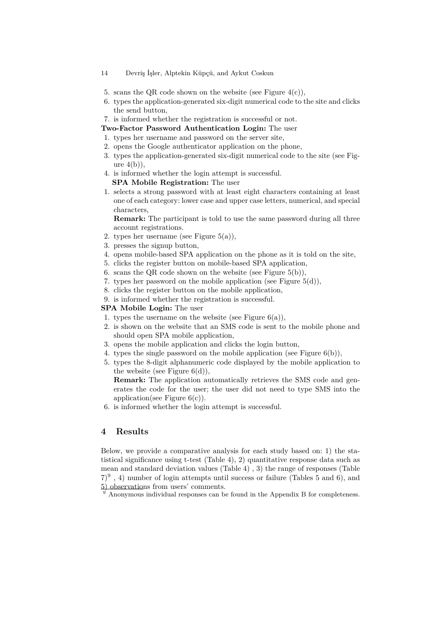- 5. scans the QR code shown on the website (see Figure  $4(c)$ ),
- 6. types the application-generated six-digit numerical code to the site and clicks the send button,
- 7. is informed whether the registration is successful or not.
- **Two-Factor Password Authentication Login:** The user
- 1. types her username and password on the server site,
- 2. opens the Google authenticator application on the phone,
- 3. types the application-generated six-digit numerical code to the site (see Figure  $4(b)$ ,
- 4. is informed whether the login attempt is successful.
- **SPA Mobile Registration:** The user
- 1. selects a strong password with at least eight characters containing at least one of each category: lower case and upper case letters, numerical, and special characters,

**Remark:** The participant is told to use the same password during all three account registrations.

- 2. types her username (see Figure 5(a)),
- 3. presses the signup button,
- 4. opens mobile-based SPA application on the phone as it is told on the site,
- 5. clicks the register button on mobile-based SPA application,
- 6. scans the QR code shown on the website (see Figure  $5(b)$ ),
- 7. types her password on the mobile application (see Figure 5(d)),
- 8. clicks the register button on the mobile application,
- 9. is informed whether the registration is successful.

#### **SPA Mobile Login:** The user

- 1. types the username on the website (see Figure  $6(a)$ ),
- 2. is shown on the website that an SMS code is sent to the mobile phone and should open SPA mobile application,
- 3. opens the mobile application and clicks the login button,
- 4. types the single password on the mobile application (see Figure 6(b)),
- 5. types the 8-digit alphanumeric code displayed by the mobile application to the website (see Figure  $6(d)$ ),

**Remark:** The application automatically retrieves the SMS code and generates the code for the user; the user did not need to type SMS into the application(see Figure  $6(c)$ ).

6. is informed whether the login attempt is successful.

## **4 Results**

Below, we provide a comparative analysis for each study based on: 1) the statistical significance using t-test (Table 4), 2) quantitative response data such as mean and standard deviation values (Table 4) , 3) the range of responses (Table  $(7)^9$ , 4) number of login attempts until success or failure (Tables 5 and 6), and 5) observations from users' comments.

Anonymous individual responses can be found in the Appendix B for completeness.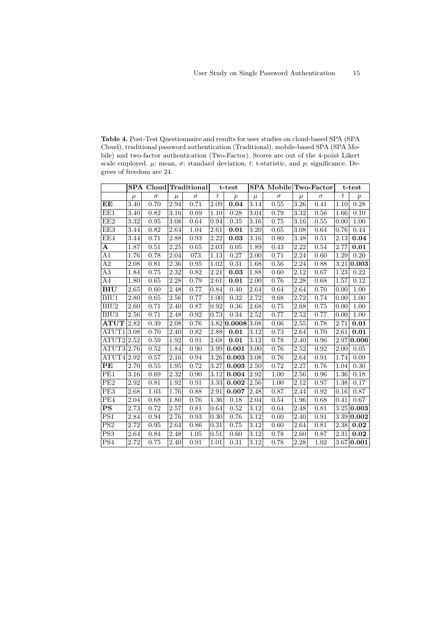**Table 4.** Post-Test Questionnaire and results for user studies on cloud-based SPA (SPA Cloud), traditional password authentication (Traditional), mobile-based SPA (SPA Mobile) and two-factor authentication (Two-Factor). Scores are out of the 4-point Likert scale employed. *µ*: mean, *σ*: standard deviation, *t*: t-statistic, and *p*: significance. Degrees of freedom are 24.

|                              |       | <b>SPA Cloud Traditional</b> |       |          |                  | t-test           |                   | SPA Mobile Two-Factor |                   |          |       | t-test           |
|------------------------------|-------|------------------------------|-------|----------|------------------|------------------|-------------------|-----------------------|-------------------|----------|-------|------------------|
|                              | $\mu$ | $\sigma$                     | $\mu$ | $\sigma$ | $\boldsymbol{t}$ | $\boldsymbol{p}$ | $\mu$             | $\sigma$              | $\mu$             | $\sigma$ | $t\,$ | $\boldsymbol{p}$ |
| ЕE                           | 3.40  | 0.70                         | 2.94  | 0.71     | 2.09             | 0.04             | 3.14              | 0.55                  | 3.26              | 0.41     | 1.10  | 0.28             |
| EE1                          | 3.40  | 0.82                         | 3.16  | 0.69     | 1.10             | 0.28             | 3.04              | 0.79                  | 3.32              | 0.56     | 1.66  | 0.10             |
| EE2                          | 3.32  | 0.95                         | 3.08  | 0.64     | 0.94             | 0.35             | 3.16              | 0.75                  | $\overline{3}.16$ | 0.55     | 0.00  | 1.00             |
| EE3                          | 3.44  | 0.82                         | 2.64  | 1.04     | 2.61             | 0.01             | 3.20              | 0.65                  | 3.08              | 0.64     | 0.76  | 0.44             |
| EE4                          | 3.44  | 0.71                         | 2.88  | 0.93     | 2.22             | 0.03             | 3.16              | 0.80                  | 3.48              | 0.51     | 2.13  | 0.04             |
| A                            | 1.87  | 0.51                         | 2.25  | 0.65     | 2.03             | 0.05             | 1.89              | 0.43                  | 2.22              | 0.54     | 2.77  | 0.01             |
| A1                           | 1.76  | 0.78                         | 2.04  | 073      | 1.13             | 0.27             | 2.00              | 0.71                  | 2.24              | 0.60     | 1.29  | 0.20             |
| A2                           | 2.08  | 0.81                         | 2.36  | 0.95     | 1.02             | 0.31             | 1.68              | 0.56                  | 2.24              | 0.88     |       | 3.21 0.003       |
| A3                           | 1.84  | 0.75                         | 2.32  | 0.82     | 2.21             | 0.03             | 1.88              | 0.60                  | 2.12              | 0.67     | 1.23  | 0.22             |
| A4                           | 1.80  | 0.65                         | 2.28  | 0.79     | 2.61             | 0.01             | 2.00              | 0.76                  | 2.28              | 0.68     | 1.57  | 0.12             |
| <b>BIU</b>                   | 2.65  | 0.60                         | 2.48  | 0.77     | 0.84             | 0.40             | 2.64              | 0.64                  | 2.64              | 0.70     | 0.00  | 1.00             |
| BIU1                         | 2.80  | 0.65                         | 2.56  | 0.77     | 1.00             | 0.32             | 2.72              | 9.68                  | 2.72              | 0.74     | 0.00  | 1.00             |
| BIU <sub>2</sub>             | 2.60  | 0.71                         | 2.40  | 0.87     | 0.92             | 0.36             | 2.68              | 0.75                  | 2.68              | 0.75     | 0.00  | 1.00             |
| BIU <sub>3</sub>             | 2.56  | 0.71                         | 2.48  | 0.92     | 0.73             | 0.34             | 2.52              | 0.77                  | 2.52              | 0.77     | 0.00  | 1.00             |
| $\bf ATUT$                   | 2.82  | 0.39                         | 2.08  | 0.76     |                  | 3.82 0.0008 3.08 |                   | 0.66                  | $\overline{2.55}$ | 0.78     | 2.71  | 0.01             |
| $\overline{\mathrm{ATU}}$ T1 | 3.08  | 0.70                         | 2.40  | 0.82     | 2.88             | 0.01             | 3.12              | 0.73                  | 2.64              | 0.70     | 2.61  | 0.01             |
| ATUT2 2.52                   |       | 0.59                         | 1.92  | 0.91     | 2.68             | 0.01             | $\overline{3.12}$ | 0.78                  | 2.40              | 0.96     |       | 2.97 0.006       |
| ATUT3 2.76                   |       | 0.52                         | 1.84  | 0.90     | 3.99             | 0.001            | 3.00              | 0.76                  | 2.52              | 0.92     | 2.00  | 0.05             |
| ATUT4                        | 2.92  | 0.57                         | 2.16  | 0.94     | 3.26             | 0.003            | 3.08              | 0.76                  | 2.64              | 0.91     | 1.74  | 0.09             |
| PE                           | 2.70  | 0.55                         | 1.95  | 0.72     | 3.27             | 0.003            | 2.50              | 0.72                  | 2.27              | 0.76     | 1.04  | 0.30             |
| PE1                          | 3.16  | 0.69                         | 2.32  | 0.90     | 3.12             | 0.004            | 2.92              | 1.00                  | 2.56              | 0.96     | 1.36  | 0.18             |
| PE <sub>2</sub>              | 2.92  | 0.81                         | 1.92  | 0.91     | 3.33             | 0.002            | 2.56              | 1.00                  | 2.12              | 0.97     | 1.38  | 0.17             |
| PE3                          | 2.68  | 1.03                         | 1.76  | 0.88     | 2.91             | 0.007            | 2.48              | 0.87                  | 2.44              | 0.92     | 0.16  | 0.87             |
| PE4                          | 2.04  | 0.68                         | 1.80  | 0.76     | 1.36             | 0.18             | 2.04              | 0.54                  | 1.96              | 0.68     | 0.41  | 0.67             |
| <b>PS</b>                    | 2.73  | 0.72                         | 2.57  | 0.81     | 0.64             | 0.52             | 3.12              | 0.64                  | 2.48              | 0.81     |       | 3.25 0.003       |
| PS1                          | 2.84  | 0.94                         | 2.76  | 0.93     | 0.30             | 0.76             | 3.12              | 0.60                  | 2.40              | 0.91     |       | 3.39 0.002       |
| PS2                          | 2.72  | 0.95                         | 2.64  | 0.86     | 0.31             | 0.75             | 3.12              | 0.60                  | 2.64              | 0.81     | 2.38  | 0.02             |
| PS <sub>3</sub>              | 2.64  | 0.84                         | 2.48  | 1.05     | 0.51             | 0.60             | 3.12              | 0.78                  | 2.60              | 0.87     | 2.31  | 0.02             |
| PS4                          | 2.72  | 0.75                         | 2.40  | 0.91     | 1.01             | 0.31             | 3.12              | 0.78                  | 2.28              | 1.02     |       | 3.67 0.001       |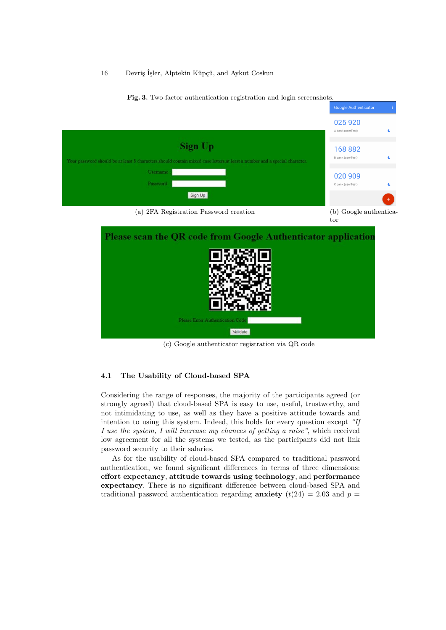16 Devriş İşler, Alptekin Küpçü, and Aykut Coskun



**Fig. 3.** Two-factor authentication registration and login screenshots.

Google Authenticator

(c) Google authenticator registration via QR code

#### **4.1 The Usability of Cloud-based SPA**

Considering the range of responses, the majority of the participants agreed (or strongly agreed) that cloud-based SPA is easy to use, useful, trustworthy, and not intimidating to use, as well as they have a positive attitude towards and intention to using this system. Indeed, this holds for every question except *"If I use the system, I will increase my chances of getting a raise"*, which received low agreement for all the systems we tested, as the participants did not link password security to their salaries.

As for the usability of cloud-based SPA compared to traditional password authentication, we found significant differences in terms of three dimensions: **effort expectancy**, **attitude towards using technology**, and **performance expectancy**. There is no significant difference between cloud-based SPA and traditional password authentication regarding **anxiety**  $(t(24) = 2.03$  and  $p =$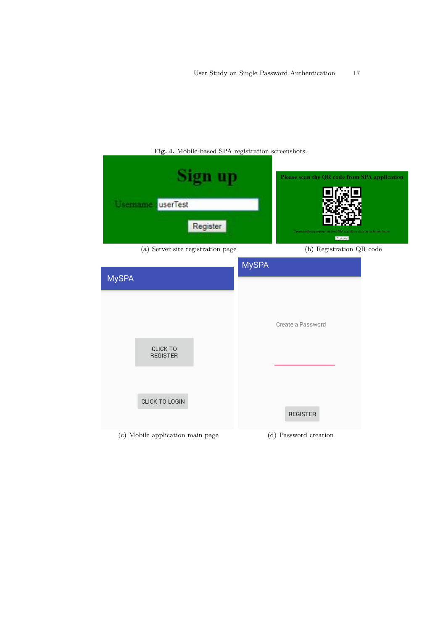|              | Username<br>userTest<br>Register                          |              | Please scan the QR code from SPA application<br>Upon completing registrati<br>lick on the button below<br>Continue |
|--------------|-----------------------------------------------------------|--------------|--------------------------------------------------------------------------------------------------------------------|
|              | (a) Server site registration page                         |              | (b) Registration QR code                                                                                           |
| <b>MySPA</b> | <b>CLICK TO</b><br><b>REGISTER</b>                        | <b>MySPA</b> | Create a Password                                                                                                  |
|              | <b>CLICK TO LOGIN</b><br>(c) Mobile application main page |              | <b>REGISTER</b><br>(d) Password creation                                                                           |

**Fig. 4.** Mobile-based SPA registration screenshots.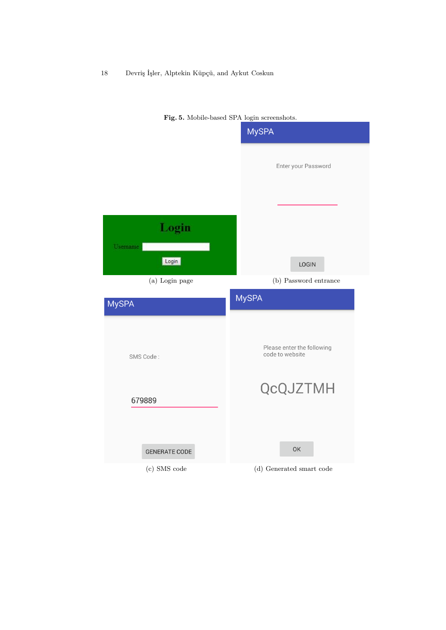

**Fig. 5.** Mobile-based SPA login screenshots.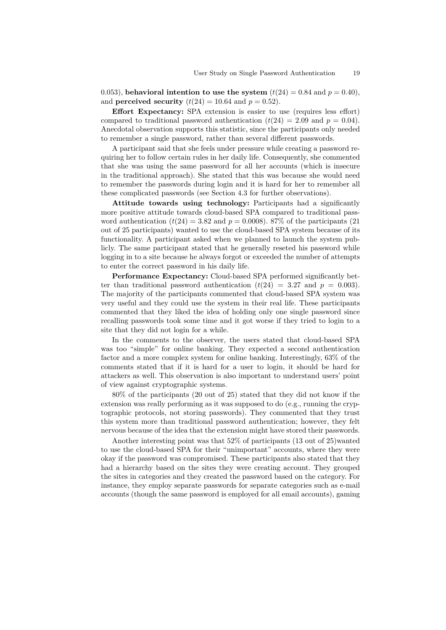0.053), **behavioral intention to use the system**  $(t(24) = 0.84$  and  $p = 0.40$ . and **perceived security**  $(t(24) = 10.64$  and  $p = 0.52$ .

**Effort Expectancy:** SPA extension is easier to use (requires less effort) compared to traditional password authentication  $(t(24) = 2.09$  and  $p = 0.04$ ). Anecdotal observation supports this statistic, since the participants only needed to remember a single password, rather than several different passwords.

A participant said that she feels under pressure while creating a password requiring her to follow certain rules in her daily life. Consequently, she commented that she was using the same password for all her accounts (which is insecure in the traditional approach). She stated that this was because she would need to remember the passwords during login and it is hard for her to remember all these complicated passwords (see Section 4.3 for further observations).

**Attitude towards using technology:** Participants had a significantly more positive attitude towards cloud-based SPA compared to traditional password authentication  $(t(24) = 3.82$  and  $p = 0.0008$ ). 87% of the participants (21) out of 25 participants) wanted to use the cloud-based SPA system because of its functionality. A participant asked when we planned to launch the system publicly. The same participant stated that he generally reseted his password while logging in to a site because he always forgot or exceeded the number of attempts to enter the correct password in his daily life.

**Performance Expectancy:** Cloud-based SPA performed significantly better than traditional password authentication  $(t(24) = 3.27$  and  $p = 0.003$ ). The majority of the participants commented that cloud-based SPA system was very useful and they could use the system in their real life. These participants commented that they liked the idea of holding only one single password since recalling passwords took some time and it got worse if they tried to login to a site that they did not login for a while.

In the comments to the observer, the users stated that cloud-based SPA was too "simple" for online banking. They expected a second authentication factor and a more complex system for online banking. Interestingly, 63% of the comments stated that if it is hard for a user to login, it should be hard for attackers as well. This observation is also important to understand users' point of view against cryptographic systems.

80% of the participants (20 out of 25) stated that they did not know if the extension was really performing as it was supposed to do (e.g., running the cryptographic protocols, not storing passwords). They commented that they trust this system more than traditional password authentication; however, they felt nervous because of the idea that the extension might have stored their passwords.

Another interesting point was that 52% of participants (13 out of 25)wanted to use the cloud-based SPA for their "unimportant" accounts, where they were okay if the password was compromised. These participants also stated that they had a hierarchy based on the sites they were creating account. They grouped the sites in categories and they created the password based on the category. For instance, they employ separate passwords for separate categories such as e-mail accounts (though the same password is employed for all email accounts), gaming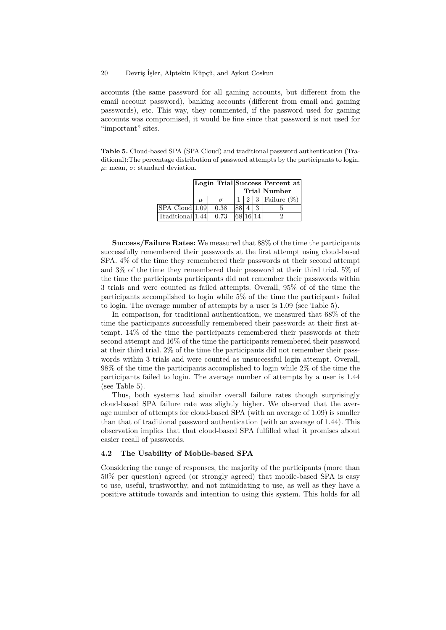accounts (the same password for all gaming accounts, but different from the email account password), banking accounts (different from email and gaming passwords), etc. This way, they commented, if the password used for gaming accounts was compromised, it would be fine since that password is not used for "important" sites.

**Table 5.** Cloud-based SPA (SPA Cloud) and traditional password authentication (Traditional):The percentage distribution of password attempts by the participants to login.  $\mu$ : mean,  $\sigma$ : standard deviation.

|                             |       |      |          |  | Login Trial Success Percent at           |
|-----------------------------|-------|------|----------|--|------------------------------------------|
|                             |       |      |          |  | Trial Number                             |
|                             | $\mu$ |      |          |  | $\mid 2 \mid 3 \mid$ Failure $(\%) \mid$ |
| SPA Cloud  1.09             |       | 0.38 |          |  |                                          |
| $\text{Traditional}$   1.44 |       | 0.73 | 68 16 14 |  |                                          |

**Success/Failure Rates:** We measured that 88% of the time the participants successfully remembered their passwords at the first attempt using cloud-based SPA. 4% of the time they remembered their passwords at their second attempt and 3% of the time they remembered their password at their third trial. 5% of the time the participants participants did not remember their passwords within 3 trials and were counted as failed attempts. Overall, 95% of of the time the participants accomplished to login while 5% of the time the participants failed to login. The average number of attempts by a user is 1.09 (see Table 5).

In comparison, for traditional authentication, we measured that 68% of the time the participants successfully remembered their passwords at their first attempt. 14% of the time the participants remembered their passwords at their second attempt and 16% of the time the participants remembered their password at their third trial. 2% of the time the participants did not remember their passwords within 3 trials and were counted as unsuccessful login attempt. Overall, 98% of the time the participants accomplished to login while 2% of the time the participants failed to login. The average number of attempts by a user is 1.44 (see Table 5).

Thus, both systems had similar overall failure rates though surprisingly cloud-based SPA failure rate was slightly higher. We observed that the average number of attempts for cloud-based SPA (with an average of 1.09) is smaller than that of traditional password authentication (with an average of 1.44). This observation implies that that cloud-based SPA fulfilled what it promises about easier recall of passwords.

## **4.2 The Usability of Mobile-based SPA**

Considering the range of responses, the majority of the participants (more than 50% per question) agreed (or strongly agreed) that mobile-based SPA is easy to use, useful, trustworthy, and not intimidating to use, as well as they have a positive attitude towards and intention to using this system. This holds for all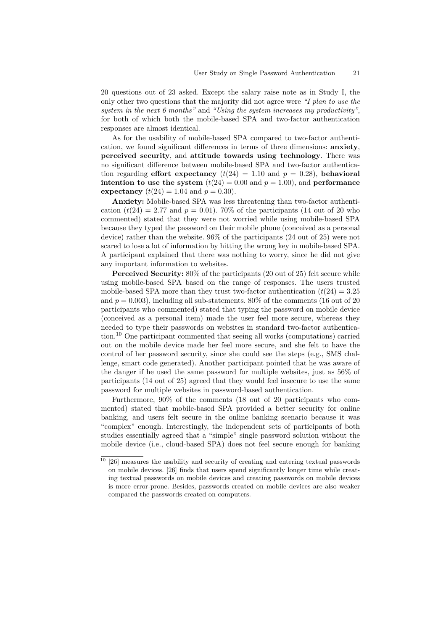20 questions out of 23 asked. Except the salary raise note as in Study I, the only other two questions that the majority did not agree were *"I plan to use the system in the next 6 months"* and *"Using the system increases my productivity"*, for both of which both the mobile-based SPA and two-factor authentication responses are almost identical.

As for the usability of mobile-based SPA compared to two-factor authentication, we found significant differences in terms of three dimensions: **anxiety**, **perceived security**, and **attitude towards using technology**. There was no significant difference between mobile-based SPA and two-factor authentication regarding **effort expectancy**  $(t(24) = 1.10$  and  $p = 0.28$ , **behavioral intention to use the system**  $(t(24) = 0.00$  and  $p = 1.00)$ , and **performance expectancy**  $(t(24) = 1.04$  and  $p = 0.30$ .

**Anxiety:** Mobile-based SPA was less threatening than two-factor authentication  $(t(24) = 2.77$  and  $p = 0.01$ ). 70% of the participants (14 out of 20 who commented) stated that they were not worried while using mobile-based SPA because they typed the password on their mobile phone (conceived as a personal device) rather than the website. 96% of the participants (24 out of 25) were not scared to lose a lot of information by hitting the wrong key in mobile-based SPA. A participant explained that there was nothing to worry, since he did not give any important information to websites.

**Perceived Security:**  $80\%$  of the participants (20 out of 25) felt secure while using mobile-based SPA based on the range of responses. The users trusted mobile-based SPA more than they trust two-factor authentication  $(t(24) = 3.25$ and  $p = 0.003$ , including all sub-statements.  $80\%$  of the comments (16 out of 20) participants who commented) stated that typing the password on mobile device (conceived as a personal item) made the user feel more secure, whereas they needed to type their passwords on websites in standard two-factor authentication.<sup>10</sup> One participant commented that seeing all works (computations) carried out on the mobile device made her feel more secure, and she felt to have the control of her password security, since she could see the steps (e.g., SMS challenge, smart code generated). Another participant pointed that he was aware of the danger if he used the same password for multiple websites, just as 56% of participants (14 out of 25) agreed that they would feel insecure to use the same password for multiple websites in password-based authentication.

Furthermore, 90% of the comments (18 out of 20 participants who commented) stated that mobile-based SPA provided a better security for online banking, and users felt secure in the online banking scenario because it was "complex" enough. Interestingly, the independent sets of participants of both studies essentially agreed that a "simple" single password solution without the mobile device (i.e., cloud-based SPA) does not feel secure enough for banking

 $10$  [26] measures the usability and security of creating and entering textual passwords on mobile devices. [26] finds that users spend significantly longer time while creating textual passwords on mobile devices and creating passwords on mobile devices is more error-prone. Besides, passwords created on mobile devices are also weaker compared the passwords created on computers.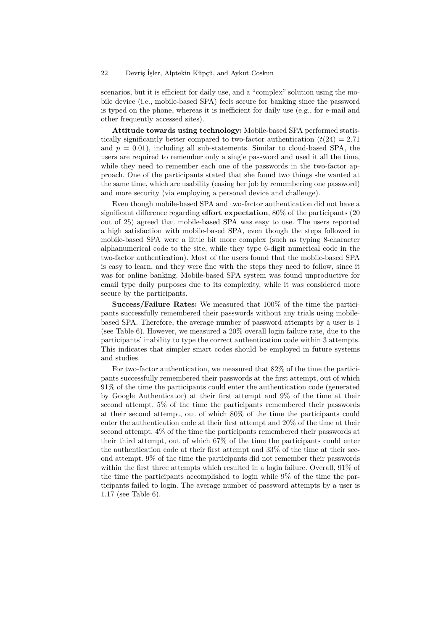scenarios, but it is efficient for daily use, and a "complex" solution using the mobile device (i.e., mobile-based SPA) feels secure for banking since the password is typed on the phone, whereas it is inefficient for daily use (e.g., for e-mail and other frequently accessed sites).

**Attitude towards using technology:** Mobile-based SPA performed statistically significantly better compared to two-factor authentication  $(t(24) = 2.71)$ and  $p = 0.01$ , including all sub-statements. Similar to cloud-based SPA, the users are required to remember only a single password and used it all the time, while they need to remember each one of the passwords in the two-factor approach. One of the participants stated that she found two things she wanted at the same time, which are usability (easing her job by remembering one password) and more security (via employing a personal device and challenge).

Even though mobile-based SPA and two-factor authentication did not have a significant difference regarding **effort expectation**, 80% of the participants (20 out of 25) agreed that mobile-based SPA was easy to use. The users reported a high satisfaction with mobile-based SPA, even though the steps followed in mobile-based SPA were a little bit more complex (such as typing 8-character alphanumerical code to the site, while they type 6-digit numerical code in the two-factor authentication). Most of the users found that the mobile-based SPA is easy to learn, and they were fine with the steps they need to follow, since it was for online banking. Mobile-based SPA system was found unproductive for email type daily purposes due to its complexity, while it was considered more secure by the participants.

**Success/Failure Rates:** We measured that 100% of the time the participants successfully remembered their passwords without any trials using mobilebased SPA. Therefore, the average number of password attempts by a user is 1 (see Table 6). However, we measured a 20% overall login failure rate, due to the participants' inability to type the correct authentication code within 3 attempts. This indicates that simpler smart codes should be employed in future systems and studies.

For two-factor authentication, we measured that 82% of the time the participants successfully remembered their passwords at the first attempt, out of which 91% of the time the participants could enter the authentication code (generated by Google Authenticator) at their first attempt and 9% of the time at their second attempt. 5% of the time the participants remembered their passwords at their second attempt, out of which 80% of the time the participants could enter the authentication code at their first attempt and 20% of the time at their second attempt. 4% of the time the participants remembered their passwords at their third attempt, out of which 67% of the time the participants could enter the authentication code at their first attempt and 33% of the time at their second attempt. 9% of the time the participants did not remember their passwords within the first three attempts which resulted in a login failure. Overall, 91% of the time the participants accomplished to login while 9% of the time the participants failed to login. The average number of password attempts by a user is 1.17 (see Table 6).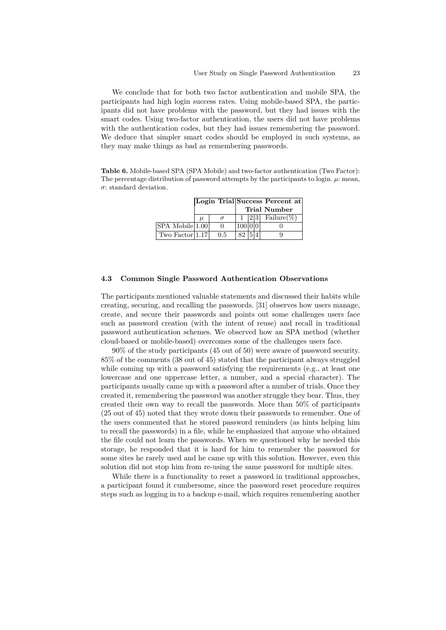We conclude that for both two factor authentication and mobile SPA, the participants had high login success rates. Using mobile-based SPA, the participants did not have problems with the password, but they had issues with the smart codes. Using two-factor authentication, the users did not have problems with the authentication codes, but they had issues remembering the password. We deduce that simpler smart codes should be employed in such systems, as they may make things as bad as remembering passwords.

**Table 6.** Mobile-based SPA (SPA Mobile) and two-factor authentication (Two Factor): The percentage distribution of password attempts by the participants to login.  $\mu$ : mean, *σ*: standard deviation.

|                     |       |     |    |  | Login Trial Success Percent at |
|---------------------|-------|-----|----|--|--------------------------------|
|                     |       |     |    |  | Trial Number                   |
|                     | $\mu$ |     |    |  | $ 2 3 $ Failure(%)             |
| SPA Mobile 1.00     |       |     |    |  |                                |
| Two Factor $ 1.17 $ |       | 0.5 | 82 |  |                                |

#### **4.3 Common Single Password Authentication Observations**

The participants mentioned valuable statements and discussed their habits while creating, securing, and recalling the passwords. [31] observes how users manage, create, and secure their passwords and points out some challenges users face such as password creation (with the intent of reuse) and recall in traditional password authentication schemes. We observed how an SPA method (whether cloud-based or mobile-based) overcomes some of the challenges users face.

90% of the study participants (45 out of 50) were aware of password security. 85% of the comments (38 out of 45) stated that the participant always struggled while coming up with a password satisfying the requirements (e.g., at least one lowercase and one uppercase letter, a number, and a special character). The participants usually came up with a password after a number of trials. Once they created it, remembering the password was another struggle they bear. Thus, they created their own way to recall the passwords. More than 50% of participants (25 out of 45) noted that they wrote down their passwords to remember. One of the users commented that he stored password reminders (as hints helping him to recall the passwords) in a file, while he emphasized that anyone who obtained the file could not learn the passwords. When we questioned why he needed this storage, he responded that it is hard for him to remember the password for some sites he rarely used and he came up with this solution. However, even this solution did not stop him from re-using the same password for multiple sites.

While there is a functionality to reset a password in traditional approaches, a participant found it cumbersome, since the password reset procedure requires steps such as logging in to a backup e-mail, which requires remembering another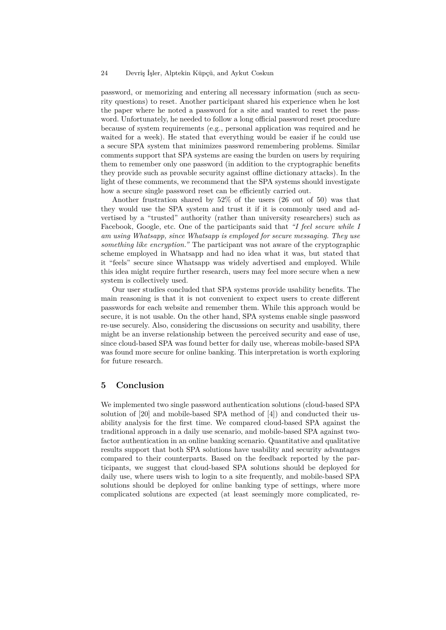password, or memorizing and entering all necessary information (such as security questions) to reset. Another participant shared his experience when he lost the paper where he noted a password for a site and wanted to reset the password. Unfortunately, he needed to follow a long official password reset procedure because of system requirements (e.g., personal application was required and he waited for a week). He stated that everything would be easier if he could use a secure SPA system that minimizes password remembering problems. Similar comments support that SPA systems are easing the burden on users by requiring them to remember only one password (in addition to the cryptographic benefits they provide such as provable security against offline dictionary attacks). In the light of these comments, we recommend that the SPA systems should investigate how a secure single password reset can be efficiently carried out.

Another frustration shared by 52% of the users (26 out of 50) was that they would use the SPA system and trust it if it is commonly used and advertised by a "trusted" authority (rather than university researchers) such as Facebook, Google, etc. One of the participants said that *"I feel secure while I am using Whatsapp, since Whatsapp is employed for secure messaging. They use something like encryption."* The participant was not aware of the cryptographic scheme employed in Whatsapp and had no idea what it was, but stated that it "feels" secure since Whatsapp was widely advertised and employed. While this idea might require further research, users may feel more secure when a new system is collectively used.

Our user studies concluded that SPA systems provide usability benefits. The main reasoning is that it is not convenient to expect users to create different passwords for each website and remember them. While this approach would be secure, it is not usable. On the other hand, SPA systems enable single password re-use securely. Also, considering the discussions on security and usability, there might be an inverse relationship between the perceived security and ease of use, since cloud-based SPA was found better for daily use, whereas mobile-based SPA was found more secure for online banking. This interpretation is worth exploring for future research.

#### **5 Conclusion**

We implemented two single password authentication solutions (cloud-based SPA solution of [20] and mobile-based SPA method of [4]) and conducted their usability analysis for the first time. We compared cloud-based SPA against the traditional approach in a daily use scenario, and mobile-based SPA against twofactor authentication in an online banking scenario. Quantitative and qualitative results support that both SPA solutions have usability and security advantages compared to their counterparts. Based on the feedback reported by the participants, we suggest that cloud-based SPA solutions should be deployed for daily use, where users wish to login to a site frequently, and mobile-based SPA solutions should be deployed for online banking type of settings, where more complicated solutions are expected (at least seemingly more complicated, re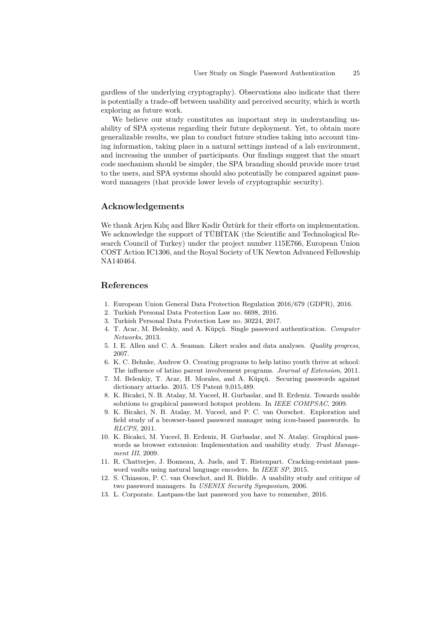gardless of the underlying cryptography). Observations also indicate that there is potentially a trade-off between usability and perceived security, which is worth exploring as future work.

We believe our study constitutes an important step in understanding usability of SPA systems regarding their future deployment. Yet, to obtain more generalizable results, we plan to conduct future studies taking into account timing information, taking place in a natural settings instead of a lab environment, and increasing the number of participants. Our findings suggest that the smart code mechanism should be simpler, the SPA branding should provide more trust to the users, and SPA systems should also potentially be compared against password managers (that provide lower levels of cryptographic security).

## **Acknowledgements**

We thank Arjen Kılıç and İlker Kadir Öztürk for their efforts on implementation. We acknowledge the support of TÜBITAK (the Scientific and Technological Research Council of Turkey) under the project number 115E766, European Union COST Action IC1306, and the Royal Society of UK Newton Advanced Fellowship NA140464.

## **References**

- 1. European Union General Data Protection Regulation 2016/679 (GDPR), 2016.
- 2. Turkish Personal Data Protection Law no. 6698, 2016.
- 3. Turkish Personal Data Protection Law no. 30224, 2017.
- 4. T. Acar, M. Belenkiy, and A. Küpçü. Single password authentication. *Computer Networks*, 2013.
- 5. I. E. Allen and C. A. Seaman. Likert scales and data analyses. *Quality progress*, 2007.
- 6. K. C. Behnke, Andrew O. Creating programs to help latino youth thrive at school: The influence of latino parent involvement programs. *Journal of Extension*, 2011.
- 7. M. Belenkiy, T. Acar, H. Morales, and A. Küpçü. Securing passwords against dictionary attacks. 2015. US Patent 9,015,489.
- 8. K. Bicakci, N. B. Atalay, M. Yuceel, H. Gurbaslar, and B. Erdeniz. Towards usable solutions to graphical password hotspot problem. In *IEEE COMPSAC*, 2009.
- 9. K. Bicakci, N. B. Atalay, M. Yuceel, and P. C. van Oorschot. Exploration and field study of a browser-based password manager using icon-based passwords. In *RLCPS*, 2011.
- 10. K. Bicakci, M. Yuceel, B. Erdeniz, H. Gurbaslar, and N. Atalay. Graphical passwords as browser extension: Implementation and usability study. *Trust Management III*, 2009.
- 11. R. Chatterjee, J. Bonneau, A. Juels, and T. Ristenpart. Cracking-resistant password vaults using natural language encoders. In *IEEE SP*, 2015.
- 12. S. Chiasson, P. C. van Oorschot, and R. Biddle. A usability study and critique of two password managers. In *USENIX Security Symposium*, 2006.
- 13. L. Corporate. Lastpass-the last password you have to remember, 2016.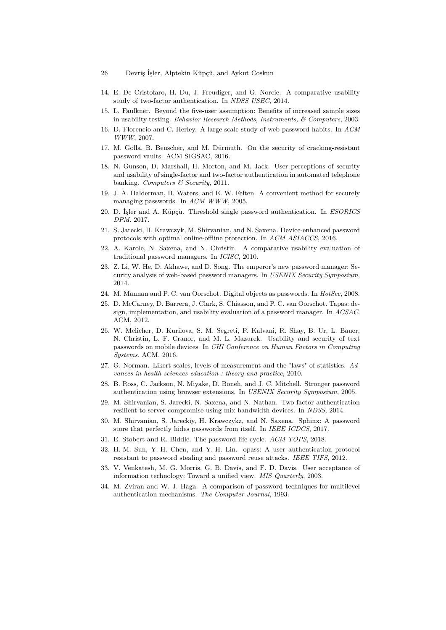- 26 Devriş İşler, Alptekin Küpçü, and Aykut Coskun
- 14. E. De Cristofaro, H. Du, J. Freudiger, and G. Norcie. A comparative usability study of two-factor authentication. In *NDSS USEC*, 2014.
- 15. L. Faulkner. Beyond the five-user assumption: Benefits of increased sample sizes in usability testing. *Behavior Research Methods, Instruments, & Computers*, 2003.
- 16. D. Florencio and C. Herley. A large-scale study of web password habits. In *ACM WWW*, 2007.
- 17. M. Golla, B. Beuscher, and M. Dürmuth. On the security of cracking-resistant password vaults. ACM SIGSAC, 2016.
- 18. N. Gunson, D. Marshall, H. Morton, and M. Jack. User perceptions of security and usability of single-factor and two-factor authentication in automated telephone banking. *Computers & Security*, 2011.
- 19. J. A. Halderman, B. Waters, and E. W. Felten. A convenient method for securely managing passwords. In *ACM WWW*, 2005.
- 20. D. İşler and A. Küpçü. Threshold single password authentication. In *ESORICS DPM*. 2017.
- 21. S. Jarecki, H. Krawczyk, M. Shirvanian, and N. Saxena. Device-enhanced password protocols with optimal online-offline protection. In *ACM ASIACCS*, 2016.
- 22. A. Karole, N. Saxena, and N. Christin. A comparative usability evaluation of traditional password managers. In *ICISC*, 2010.
- 23. Z. Li, W. He, D. Akhawe, and D. Song. The emperor's new password manager: Security analysis of web-based password managers. In *USENIX Security Symposium*, 2014.
- 24. M. Mannan and P. C. van Oorschot. Digital objects as passwords. In *HotSec*, 2008.
- 25. D. McCarney, D. Barrera, J. Clark, S. Chiasson, and P. C. van Oorschot. Tapas: design, implementation, and usability evaluation of a password manager. In *ACSAC*. ACM, 2012.
- 26. W. Melicher, D. Kurilova, S. M. Segreti, P. Kalvani, R. Shay, B. Ur, L. Bauer, N. Christin, L. F. Cranor, and M. L. Mazurek. Usability and security of text passwords on mobile devices. In *CHI Conference on Human Factors in Computing Systems*. ACM, 2016.
- 27. G. Norman. Likert scales, levels of measurement and the "laws" of statistics. *Advances in health sciences education : theory and practice*, 2010.
- 28. B. Ross, C. Jackson, N. Miyake, D. Boneh, and J. C. Mitchell. Stronger password authentication using browser extensions. In *USENIX Security Symposium*, 2005.
- 29. M. Shirvanian, S. Jarecki, N. Saxena, and N. Nathan. Two-factor authentication resilient to server compromise using mix-bandwidth devices. In *NDSS*, 2014.
- 30. M. Shirvanian, S. Jareckiy, H. Krawczykz, and N. Saxena. Sphinx: A password store that perfectly hides passwords from itself. In *IEEE ICDCS*, 2017.
- 31. E. Stobert and R. Biddle. The password life cycle. *ACM TOPS*, 2018.
- 32. H.-M. Sun, Y.-H. Chen, and Y.-H. Lin. opass: A user authentication protocol resistant to password stealing and password reuse attacks. *IEEE TIFS*, 2012.
- 33. V. Venkatesh, M. G. Morris, G. B. Davis, and F. D. Davis. User acceptance of information technology: Toward a unified view. *MIS Quarterly*, 2003.
- 34. M. Zviran and W. J. Haga. A comparison of password techniques for multilevel authentication mechanisms. *The Computer Journal*, 1993.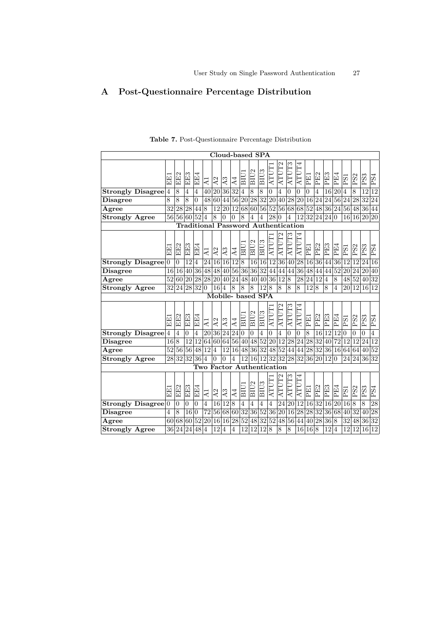# **A Post-Questionnaire Percentage Distribution**

|                          |                 |                |                             |                |                |                |                   |                 |                 | Cloud-based SPA  |                  |                                  |                 |                 |                     |                   |                 |                 |                |                |                 |                 |                 |
|--------------------------|-----------------|----------------|-----------------------------|----------------|----------------|----------------|-------------------|-----------------|-----------------|------------------|------------------|----------------------------------|-----------------|-----------------|---------------------|-------------------|-----------------|-----------------|----------------|----------------|-----------------|-----------------|-----------------|
|                          | EE              | EE2            | EE3                         | EÉ.            | $\overline{A}$ | 2<br>∢         | A3                | $\overline{A4}$ | ВIJ             | BIU <sub>2</sub> | BIU <sub>3</sub> | ATUT                             | ATUT2           | ATUT3           | $\mathbb{H}$<br>ATU | Ë                 | PE <sub>2</sub> | PE3             | PE4            | <b>PS1</b>     | PS <sub>2</sub> | PS3             | PS <sub>4</sub> |
| <b>Strongly Disagree</b> | $\overline{4}$  | 8              | 4                           | 4              | 40             | 20             | 36                | 32              | $\overline{4}$  | 8                | 8                | $\overline{0}$                   | $\overline{4}$  | $\overline{0}$  | $\overline{0}$      | $\overline{0}$    | $\overline{4}$  | 16              | 20             | $\overline{4}$ | 8               | 12              | 12              |
| <b>Disagree</b>          | 8               | 8              | 8                           | $\overline{0}$ | 48             | 60             | 44                | 56              | 20              | 28               | $\overline{32}$  | 20                               | 40              | 28              | 20                  | 16                | 24              | 24              | 56             | 24             | 28              | 32              | 24              |
| Agree                    | 32              | 28             | 28                          | 44             | 8              | 12             | 20                | 12              | 68              | 60               | 56               | $\overline{52}$                  | 56              | 68              | 68                  | 52                | 48              |                 | 36 24 56 48    |                |                 | 36              | 44              |
| <b>Strongly Agree</b>    | 56              | 56             | 60                          | 52             | $\overline{4}$ | 8              | $\theta$          | $\overline{0}$  | 8               | 4                | $\overline{4}$   | 28                               | $\theta$        | 4               | 12                  | $ \overline{32} $ | 24 24 0         |                 |                | 16             | 16              | 20              | 20              |
|                          |                 |                | <b>Traditional Password</b> |                |                |                |                   |                 |                 |                  |                  |                                  |                 | Authentication  |                     |                   |                 |                 |                |                |                 |                 |                 |
|                          | 国田              | EE2            | EE3                         | EE4            | $\overline{A}$ | A <sub>2</sub> | A <sub>3</sub>    | $\overline{A4}$ | БIJ             | BIU <sub>2</sub> | BIU <sub>3</sub> | ATUT1                            | ATUT2           | ATUT3           | ATUT4               | 互互                | PE2             | PE3             | PE4            | <b>PS1</b>     | PS2             | PS3             | PS4             |
| <b>Strongly Disagree</b> | $\overline{0}$  | $\overline{0}$ | 12                          | 4              | 24             | 16             | 16                | 12              | $8\,$           | 16               | 16               | 12                               | 36              | 40              | 28                  | 16                | 36              | 44              | 36             | 12             | 12              | 24              | 16              |
| <b>Disagree</b>          | 16              | 16             | 40                          | 36             | 48             | 48             | 40                | 56              | 36              | 36               | 32               | 44                               | 44              | 44              | 36                  | 48                | 44              | 44              | 52             | 20             | 24              | 20              | 40              |
| Agree                    | 52              | 60             | 20                          | 28             | 28             | 20 40          |                   | 24              | 48              | 40               | 40               | $\overline{36}$                  | 12              | $\overline{8}$  | 28                  | 24 12             |                 | 4               | 8              | 48             | 52              | 40              | 32              |
| <b>Strongly Agree</b>    | 32              | 24             | 28                          | 32             | $\overline{0}$ | 16             | 4                 | 8               | 8               | 8                | 12               | 8                                | 8               | 8               | 8                   | 12                | $\overline{8}$  | 8               | 4              | 20             | 12              | 16              | 12              |
|                          |                 |                |                             |                |                |                | Mobile- based SPA |                 |                 |                  |                  |                                  |                 |                 |                     |                   |                 |                 |                |                |                 |                 |                 |
|                          | 国国              | EE2            | EE3                         | EE4            | $\overline{A}$ | A2             | A <sub>3</sub>    | $\overline{A4}$ | BIU             | BIU <sub>2</sub> | BIU <sub>3</sub> | ATUT                             | ATUT2           | ATUT3           | ATUT4               | 囙                 | PE2             | PE3             | PE4            | <b>PSI</b>     | PS <sub>2</sub> | PS3             | PS <sub>4</sub> |
| <b>Strongly Disagree</b> | $\overline{4}$  | $\overline{4}$ | $\overline{0}$              | $\overline{4}$ | 20             | 36             | 24                | 24              | $\Omega$        | $\overline{0}$   | 4                | $\overline{0}$                   | 4               | $\overline{0}$  | $\overline{0}$      | 8                 | 16              | $\overline{12}$ | 12             | $\theta$       | 0               | $\theta$        | 4               |
| <b>Disagree</b>          | 16              | $\overline{8}$ | 12                          | 12             | 64             | 60             | 64                | 56              | 40              | 48               | $\overline{52}$  | $\overline{20}$                  | 12              | 28              | 24                  | 28                | 32              | 40              | 72             | 12             | 12              | 24              | 12              |
| Agree                    | $\overline{52}$ | 56             | 56                          | 48             | 12             | 4              | 12                | 16              | 48              | $\overline{36}$  | $\overline{32}$  | 48                               | $\overline{52}$ | 44              | 44                  | 28 32             |                 | 36 16           |                |                | 64 64 40        |                 | 52              |
| <b>Strongly Agree</b>    | 28              | 32             | 32                          | 36 4           |                | $\Omega$       | $\theta$          | 4               | 12              | 16               | <sup>12</sup>    | 32                               | 32              | 28              | 32                  | 36 20             |                 | 12              | $\overline{0}$ | 24             | 24              | 36              | 32              |
|                          |                 |                |                             |                |                |                |                   |                 |                 |                  |                  | <b>Two Factor Authentication</b> |                 |                 |                     |                   |                 |                 |                |                |                 |                 |                 |
|                          | 臣               | EE2            | EE3                         | EE4            | $\overline{A}$ | A <sub>2</sub> | A3                | $\overline{A4}$ | BIU.            | BIU <sub>2</sub> | BIU <sub>3</sub> | ATUT                             | ATUT2           | ATUT3           | ATUT-               | 囙                 | PE <sub>2</sub> | PE <sub>3</sub> | PE4            | <b>PS1</b>     | PS <sub>2</sub> | PS3             | PS4             |
| <b>Strongly Disagree</b> | $\overline{0}$  | $\overline{0}$ | $\overline{0}$              | $\overline{0}$ | $\overline{4}$ | 16             | 12                | $\overline{8}$  | $\overline{4}$  | 4                | 4                | $\overline{4}$                   | 24              | 20              | 12                  | 16                | 32              | 16              | 20             | 16             | 8               | 8               | 28              |
| <b>Disagree</b>          | $\overline{4}$  | 8              | 16                          | $\overline{0}$ | 72             | 56             | $\overline{68}$   | 60              | $\overline{32}$ | 36               | $\overline{52}$  | 36                               | 20              | 16              | 28                  | 28                | $\overline{32}$ | 36              | 68             | 40             | 32              | 40              | $\overline{2}8$ |
| Agree                    | 60              | 68             | 60                          | 52             | 20             | 16             | 16                | 28              | $\overline{52}$ | 48               | $\overline{32}$  | 52                               | 48              | $\overline{56}$ | 44                  | 40                | 28              | 36              | $\overline{8}$ | 32             | 48              | $\overline{36}$ | $\overline{32}$ |
| Strongly Agree           | 36              | 24             | 24                          | 48             | 4              | 12             | 14                | 4               | 12              | $\overline{12}$  | 12               | $\overline{8}$                   | $\overline{8}$  | 8               | 16                  | 16                | 18              | 12              | 4              | 12             | 12              | 16              | 12              |

**Table 7.** Post-Questionnaire Percentage Distribution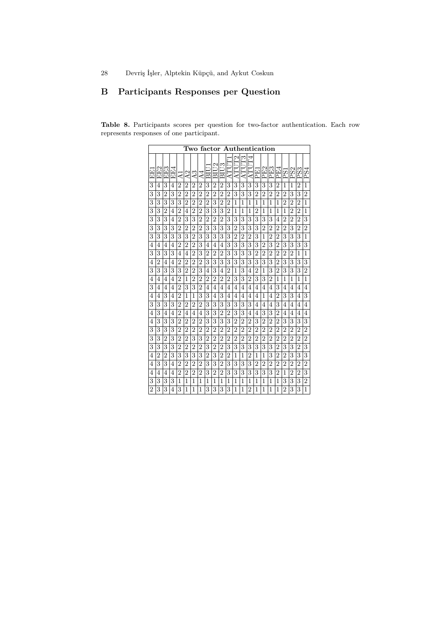# **B Participants Responses per Question**

**Table 8.** Participants scores per question for two-factor authentication. Each row represents responses of one participant.

| P<br>g<br>F4<br>Ē<br>BIU <sub>3</sub><br>$\mathbb{S}$<br><b>ATU</b><br>ATU<br>PE2<br>PE3<br>EE2<br>EE3<br>EF4<br>PE4<br>АTТ<br>ΑTι<br>日<br>PS2<br>PS3<br>РSІ<br>医丘<br>$\Xi$<br>A2<br>œ.<br>4<br>╦<br>$\overline{\mathtt{d}}$<br>₫<br>⋖<br>₫<br>3<br>3<br>$\overline{2}$<br>3<br>$\overline{2}$<br>$\overline{2}$<br>3<br>3<br>3<br>3<br>3<br>3<br>3<br>$\overline{2}$<br>$\overline{2}$<br>$\overline{2}$<br>$\overline{2}$<br>$\overline{2}$<br>1<br>4<br>4<br>1<br>1<br>$\overline{3}$<br>3<br>$\overline{2}$<br>3<br>3<br>$\overline{2}$<br>3<br>$\overline{2}$<br>$\overline{2}$<br>$\overline{2}$<br>$\overline{2}$<br>$\overline{2}$<br>$\overline{2}$<br>$\overline{2}$<br>$\overline{2}$<br>3<br>$\overline{2}$<br>$\overline{2}$<br>$\overline{2}$<br>$\overline{2}$<br>$\overline{2}$<br>3<br>3<br>$\overline{3}$<br>3<br>3<br>3<br>3<br>3<br>$\overline{2}$<br>$\overline{2}$<br>$\overline{2}$<br>$\overline{2}$<br>$\overline{2}$<br>$\overline{2}$<br>1<br>$\overline{2}$<br>$\overline{2}$<br>$\overline{2}$<br>1<br>1<br>1<br>1<br>1<br>1<br>1<br>3<br>3<br>$\overline{2}$<br>$\overline{2}$<br>$\overline{2}$<br>$\overline{2}$<br>3<br>3<br>3<br>$\overline{2}$<br>$\overline{4}$<br>$\overline{2}$<br>$\overline{2}$<br>$\overline{2}$<br>1<br>$\overline{4}$<br>1<br>1<br>1<br>1<br>1<br>1<br>1<br>3<br>3<br>$\overline{2}$<br>3<br>3<br>$\overline{2}$<br>$\overline{2}$<br>$\overline{2}$<br>3<br>3<br>3<br>3<br>3<br>3<br>$\overline{2}$<br>3<br>3<br>2<br>3<br>$\overline{2}$<br>$\overline{2}$<br>4<br>4<br>3<br>3<br>3<br>$\overline{2}$<br>$\overline{2}$<br>3<br>3<br>3<br>$\overline{2}$<br>$\overline{2}$<br>$\overline{2}$<br>$\overline{2}$<br>3<br>3<br>$\overline{2}$<br>3<br>3<br>3<br>$\overline{2}$<br>$\overline{2}$<br>$\overline{2}$<br>3<br>$\overline{2}$<br>3<br>3<br>3<br>3<br>3<br>3<br>$\overline{2}$<br>3<br>3<br>3<br>3<br>3<br>$\overline{2}$<br>$\overline{2}$<br>$\overline{2}$<br>3<br>$\overline{2}$<br>$\overline{2}$<br>3<br>3<br>3<br>1<br>1<br>$\overline{2}$<br>$\overline{2}$<br>3<br>3<br>3<br>3<br>3<br>3<br>$\overline{2}$<br>3<br>$\overline{2}$<br>3<br>$\overline{2}$<br>3<br>3<br>3<br>4<br>4<br>4<br>4<br>4<br>4<br>4<br>3<br>3<br>3<br>$\overline{2}$<br>3<br>3<br>3<br>3<br>$\overline{2}$<br>3<br>3<br>$\overline{2}$<br>2<br>$\overline{2}$<br>$\overline{2}$<br>$\overline{2}$<br>$\overline{2}$<br>$\overline{2}$<br>$\overline{2}$<br>1<br>4<br>4<br>1<br>3<br>3<br>3<br>3<br>3<br>3<br>3<br>$\overline{2}$<br>3<br>3<br>$\overline{2}$<br>$\overline{2}$<br>$\overline{2}$<br>$\overline{2}$<br>$\overline{2}$<br>3<br>3<br>3<br>3<br>3<br>4<br>4<br>4<br>3<br>3<br>3<br>3<br>3<br>$\overline{2}$<br>$\overline{2}$<br>3<br>3<br>3<br>3<br>3<br>3<br>3<br>$\overline{2}$<br>$\overline{2}$<br>$\overline{2}$<br>1<br>$\overline{2}$<br>1<br>4<br>4<br>4<br>$\overline{2}$<br>$\overline{2}$<br>3<br>3<br>3<br>3<br>$\overline{2}$<br>$\overline{2}$<br>$\overline{2}$<br>$\overline{2}$<br>$\overline{2}$<br>$\overline{2}$<br>$\overline{2}$<br>4<br>1<br>1<br>4<br>1<br>1<br>1<br>1<br>4<br>4<br>3<br>3<br>3<br>$\overline{2}$<br>3<br>$\overline{2}$<br>4<br>4<br>4<br>4<br>4<br>4<br>4<br>4<br>4<br>4<br>4<br>4<br>4<br>4<br>4<br>4<br>4<br>3<br>3<br>3<br>3<br>$\overline{2}$<br>3<br>$\overline{2}$<br>3<br>3<br>$\overline{4}$<br>1<br>1<br>4<br>1<br>4<br>4<br>4<br>4<br>4<br>4<br>4<br>4<br>4<br>3<br>3<br>3<br>3<br>3<br>$\overline{2}$<br>$\overline{2}$<br>$\overline{2}$<br>3<br>3<br>3<br>3<br>3<br>3<br>3<br>$\overline{2}$<br>4<br>$\overline{4}$<br>$\overline{4}$<br>4<br>4<br>4<br>4<br>$\overline{2}$<br>3<br>3<br>3<br>$\overline{2}$<br>$\overline{2}$<br>3<br>3<br>3<br>3<br>$\overline{2}$<br>$\overline{4}$<br>4<br>4<br>4<br>4<br>4<br>4<br>4<br>4<br>4<br>4<br>4<br>3<br>3<br>3<br>$\overline{2}$<br>$\overline{2}$<br>$\overline{2}$<br>3<br>3<br>3<br>3<br>$\overline{2}$<br>$\overline{2}$<br>$\overline{2}$<br>3<br>$\overline{2}$<br>$\overline{2}$<br>$\overline{2}$<br>3<br>3<br>$\overline{2}$<br>3<br>3<br>4<br>3<br>3<br>3<br>3<br>2<br>$\overline{2}$<br>2<br>2<br>2<br>$\overline{2}$<br>$\overline{2}$<br>$\overline{2}$<br>$\overline{2}$<br>$\overline{2}$<br>2<br>$\overline{2}$<br>2<br>$\overline{2}$<br>$\overline{2}$<br>$\overline{2}$<br>2<br>$\overline{2}$<br>$\overline{2}$<br>$\overline{2}$<br>3<br>3<br>$\overline{2}$<br>3<br>$\overline{2}$<br>3<br>3<br>$\overline{2}$<br>$\overline{2}$<br>$\overline{2}$<br>$\overline{2}$<br>$\overline{2}$<br>$\overline{2}$<br>$\overline{2}$<br>$\overline{2}$<br>$\overline{2}$<br>2<br>$\overline{2}$<br>2<br>$\overline{2}$<br>$\overline{2}$<br>$\overline{2}$<br>3<br>3<br>3<br>3<br>$\overline{2}$<br>$\overline{2}$<br>$\overline{2}$<br>3<br>$\overline{2}$<br>$\overline{2}$<br>3<br>3<br>3<br>3<br>3<br>3<br>3<br>$\overline{2}$<br>3<br>3<br>$\overline{2}$<br>3<br>$\overline{2}$<br>3<br>3<br>3<br>3<br>$\overline{2}$<br>3<br>3<br>3<br>$\overline{2}$<br>$\overline{2}$<br>3<br>$\overline{2}$<br>3<br>3<br>$\overline{4}$<br>$\overline{2}$<br>2<br>1<br>2<br>1<br>1<br>$\overline{2}$<br>1<br>3<br>3<br>$\overline{2}$<br>$\overline{2}$<br>$\overline{2}$<br>$\overline{2}$<br>3<br>3<br>3<br>3<br>3<br>3<br>$\overline{2}$<br>$\overline{2}$<br>$\overline{2}$<br>$\overline{2}$<br>$\overline{2}$<br>$\overline{2}$<br>$\overline{4}$<br>$\overline{2}$<br>$\overline{2}$<br>$\overline{2}$<br>4<br>3<br>$\overline{2}$<br>$\overline{2}$<br>$\overline{2}$<br>$\overline{2}$<br>3<br>$\overline{2}$<br>$\overline{2}$<br>3<br>3<br>3<br>3<br>3<br>3<br>$\overline{2}$<br>$\overline{2}$<br>$\overline{2}$<br>3<br>4<br>1<br>4<br>4<br>4<br>3<br>3<br>3<br>3<br>3<br>$\overline{2}$<br>3<br>$\mathbf{1}$<br>3<br>1<br>1<br>1<br>1<br>1<br>1<br>1<br>1<br>1<br>1<br>1<br>1<br>1<br>1<br>$\overline{2}$<br>3<br>3<br>3<br>3<br>3<br>3<br>3<br>3<br>1<br>2<br>$\overline{2}$<br>1<br>1<br>1<br>1<br>1<br>1<br>1<br>4<br>1<br>1 |  |  |  | Two | factor |  |  |  | ${\bf \small{Authentication}}$ |  |  |   |          |
|----------------------------------------------------------------------------------------------------------------------------------------------------------------------------------------------------------------------------------------------------------------------------------------------------------------------------------------------------------------------------------------------------------------------------------------------------------------------------------------------------------------------------------------------------------------------------------------------------------------------------------------------------------------------------------------------------------------------------------------------------------------------------------------------------------------------------------------------------------------------------------------------------------------------------------------------------------------------------------------------------------------------------------------------------------------------------------------------------------------------------------------------------------------------------------------------------------------------------------------------------------------------------------------------------------------------------------------------------------------------------------------------------------------------------------------------------------------------------------------------------------------------------------------------------------------------------------------------------------------------------------------------------------------------------------------------------------------------------------------------------------------------------------------------------------------------------------------------------------------------------------------------------------------------------------------------------------------------------------------------------------------------------------------------------------------------------------------------------------------------------------------------------------------------------------------------------------------------------------------------------------------------------------------------------------------------------------------------------------------------------------------------------------------------------------------------------------------------------------------------------------------------------------------------------------------------------------------------------------------------------------------------------------------------------------------------------------------------------------------------------------------------------------------------------------------------------------------------------------------------------------------------------------------------------------------------------------------------------------------------------------------------------------------------------------------------------------------------------------------------------------------------------------------------------------------------------------------------------------------------------------------------------------------------------------------------------------------------------------------------------------------------------------------------------------------------------------------------------------------------------------------------------------------------------------------------------------------------------------------------------------------------------------------------------------------------------------------------------------------------------------------------------------------------------------------------------------------------------------------------------------------------------------------------------------------------------------------------------------------------------------------------------------------------------------------------------------------------------------------------------------------------------------------------------------------------------------------------------------------------------------------------------------------------------------------------------------------------------------------------------------------------------------------------------------------------------------------------------------------------------------------------------------------------------------------------------------------------------------------------------------------------------------------------------------------------------------------------------------------------------------------------------------------------------------------------------------------------------------------------------------------------------------------------------------------------------------------------------------------------------------------------------------------------------------------------------------------------------------------------------------------------------------------------------------------------------------------------------------------------------------------------------------------------------------------------------------------------------------------------------------------------------------------------------------------------------------------------------------------------------------------------------------------------------------------------------------------------------------------------------------------------------------------------------------------------------------------------------------------------------------------------------------------------------------------------------------------------------------------------------------------------------------------------------|--|--|--|-----|--------|--|--|--|--------------------------------|--|--|---|----------|
|                                                                                                                                                                                                                                                                                                                                                                                                                                                                                                                                                                                                                                                                                                                                                                                                                                                                                                                                                                                                                                                                                                                                                                                                                                                                                                                                                                                                                                                                                                                                                                                                                                                                                                                                                                                                                                                                                                                                                                                                                                                                                                                                                                                                                                                                                                                                                                                                                                                                                                                                                                                                                                                                                                                                                                                                                                                                                                                                                                                                                                                                                                                                                                                                                                                                                                                                                                                                                                                                                                                                                                                                                                                                                                                                                                                                                                                                                                                                                                                                                                                                                                                                                                                                                                                                                                                                                                                                                                                                                                                                                                                                                                                                                                                                                                                                                                                                                                                                                                                                                                                                                                                                                                                                                                                                                                                                                                                                                                                                                                                                                                                                                                                                                                                                                                                                                                                                                                                            |  |  |  |     |        |  |  |  |                                |  |  |   | 34<br>Ď. |
|                                                                                                                                                                                                                                                                                                                                                                                                                                                                                                                                                                                                                                                                                                                                                                                                                                                                                                                                                                                                                                                                                                                                                                                                                                                                                                                                                                                                                                                                                                                                                                                                                                                                                                                                                                                                                                                                                                                                                                                                                                                                                                                                                                                                                                                                                                                                                                                                                                                                                                                                                                                                                                                                                                                                                                                                                                                                                                                                                                                                                                                                                                                                                                                                                                                                                                                                                                                                                                                                                                                                                                                                                                                                                                                                                                                                                                                                                                                                                                                                                                                                                                                                                                                                                                                                                                                                                                                                                                                                                                                                                                                                                                                                                                                                                                                                                                                                                                                                                                                                                                                                                                                                                                                                                                                                                                                                                                                                                                                                                                                                                                                                                                                                                                                                                                                                                                                                                                                            |  |  |  |     |        |  |  |  |                                |  |  |   |          |
|                                                                                                                                                                                                                                                                                                                                                                                                                                                                                                                                                                                                                                                                                                                                                                                                                                                                                                                                                                                                                                                                                                                                                                                                                                                                                                                                                                                                                                                                                                                                                                                                                                                                                                                                                                                                                                                                                                                                                                                                                                                                                                                                                                                                                                                                                                                                                                                                                                                                                                                                                                                                                                                                                                                                                                                                                                                                                                                                                                                                                                                                                                                                                                                                                                                                                                                                                                                                                                                                                                                                                                                                                                                                                                                                                                                                                                                                                                                                                                                                                                                                                                                                                                                                                                                                                                                                                                                                                                                                                                                                                                                                                                                                                                                                                                                                                                                                                                                                                                                                                                                                                                                                                                                                                                                                                                                                                                                                                                                                                                                                                                                                                                                                                                                                                                                                                                                                                                                            |  |  |  |     |        |  |  |  |                                |  |  |   |          |
|                                                                                                                                                                                                                                                                                                                                                                                                                                                                                                                                                                                                                                                                                                                                                                                                                                                                                                                                                                                                                                                                                                                                                                                                                                                                                                                                                                                                                                                                                                                                                                                                                                                                                                                                                                                                                                                                                                                                                                                                                                                                                                                                                                                                                                                                                                                                                                                                                                                                                                                                                                                                                                                                                                                                                                                                                                                                                                                                                                                                                                                                                                                                                                                                                                                                                                                                                                                                                                                                                                                                                                                                                                                                                                                                                                                                                                                                                                                                                                                                                                                                                                                                                                                                                                                                                                                                                                                                                                                                                                                                                                                                                                                                                                                                                                                                                                                                                                                                                                                                                                                                                                                                                                                                                                                                                                                                                                                                                                                                                                                                                                                                                                                                                                                                                                                                                                                                                                                            |  |  |  |     |        |  |  |  |                                |  |  |   |          |
|                                                                                                                                                                                                                                                                                                                                                                                                                                                                                                                                                                                                                                                                                                                                                                                                                                                                                                                                                                                                                                                                                                                                                                                                                                                                                                                                                                                                                                                                                                                                                                                                                                                                                                                                                                                                                                                                                                                                                                                                                                                                                                                                                                                                                                                                                                                                                                                                                                                                                                                                                                                                                                                                                                                                                                                                                                                                                                                                                                                                                                                                                                                                                                                                                                                                                                                                                                                                                                                                                                                                                                                                                                                                                                                                                                                                                                                                                                                                                                                                                                                                                                                                                                                                                                                                                                                                                                                                                                                                                                                                                                                                                                                                                                                                                                                                                                                                                                                                                                                                                                                                                                                                                                                                                                                                                                                                                                                                                                                                                                                                                                                                                                                                                                                                                                                                                                                                                                                            |  |  |  |     |        |  |  |  |                                |  |  |   |          |
|                                                                                                                                                                                                                                                                                                                                                                                                                                                                                                                                                                                                                                                                                                                                                                                                                                                                                                                                                                                                                                                                                                                                                                                                                                                                                                                                                                                                                                                                                                                                                                                                                                                                                                                                                                                                                                                                                                                                                                                                                                                                                                                                                                                                                                                                                                                                                                                                                                                                                                                                                                                                                                                                                                                                                                                                                                                                                                                                                                                                                                                                                                                                                                                                                                                                                                                                                                                                                                                                                                                                                                                                                                                                                                                                                                                                                                                                                                                                                                                                                                                                                                                                                                                                                                                                                                                                                                                                                                                                                                                                                                                                                                                                                                                                                                                                                                                                                                                                                                                                                                                                                                                                                                                                                                                                                                                                                                                                                                                                                                                                                                                                                                                                                                                                                                                                                                                                                                                            |  |  |  |     |        |  |  |  |                                |  |  |   |          |
|                                                                                                                                                                                                                                                                                                                                                                                                                                                                                                                                                                                                                                                                                                                                                                                                                                                                                                                                                                                                                                                                                                                                                                                                                                                                                                                                                                                                                                                                                                                                                                                                                                                                                                                                                                                                                                                                                                                                                                                                                                                                                                                                                                                                                                                                                                                                                                                                                                                                                                                                                                                                                                                                                                                                                                                                                                                                                                                                                                                                                                                                                                                                                                                                                                                                                                                                                                                                                                                                                                                                                                                                                                                                                                                                                                                                                                                                                                                                                                                                                                                                                                                                                                                                                                                                                                                                                                                                                                                                                                                                                                                                                                                                                                                                                                                                                                                                                                                                                                                                                                                                                                                                                                                                                                                                                                                                                                                                                                                                                                                                                                                                                                                                                                                                                                                                                                                                                                                            |  |  |  |     |        |  |  |  |                                |  |  |   |          |
|                                                                                                                                                                                                                                                                                                                                                                                                                                                                                                                                                                                                                                                                                                                                                                                                                                                                                                                                                                                                                                                                                                                                                                                                                                                                                                                                                                                                                                                                                                                                                                                                                                                                                                                                                                                                                                                                                                                                                                                                                                                                                                                                                                                                                                                                                                                                                                                                                                                                                                                                                                                                                                                                                                                                                                                                                                                                                                                                                                                                                                                                                                                                                                                                                                                                                                                                                                                                                                                                                                                                                                                                                                                                                                                                                                                                                                                                                                                                                                                                                                                                                                                                                                                                                                                                                                                                                                                                                                                                                                                                                                                                                                                                                                                                                                                                                                                                                                                                                                                                                                                                                                                                                                                                                                                                                                                                                                                                                                                                                                                                                                                                                                                                                                                                                                                                                                                                                                                            |  |  |  |     |        |  |  |  |                                |  |  |   |          |
|                                                                                                                                                                                                                                                                                                                                                                                                                                                                                                                                                                                                                                                                                                                                                                                                                                                                                                                                                                                                                                                                                                                                                                                                                                                                                                                                                                                                                                                                                                                                                                                                                                                                                                                                                                                                                                                                                                                                                                                                                                                                                                                                                                                                                                                                                                                                                                                                                                                                                                                                                                                                                                                                                                                                                                                                                                                                                                                                                                                                                                                                                                                                                                                                                                                                                                                                                                                                                                                                                                                                                                                                                                                                                                                                                                                                                                                                                                                                                                                                                                                                                                                                                                                                                                                                                                                                                                                                                                                                                                                                                                                                                                                                                                                                                                                                                                                                                                                                                                                                                                                                                                                                                                                                                                                                                                                                                                                                                                                                                                                                                                                                                                                                                                                                                                                                                                                                                                                            |  |  |  |     |        |  |  |  |                                |  |  |   |          |
|                                                                                                                                                                                                                                                                                                                                                                                                                                                                                                                                                                                                                                                                                                                                                                                                                                                                                                                                                                                                                                                                                                                                                                                                                                                                                                                                                                                                                                                                                                                                                                                                                                                                                                                                                                                                                                                                                                                                                                                                                                                                                                                                                                                                                                                                                                                                                                                                                                                                                                                                                                                                                                                                                                                                                                                                                                                                                                                                                                                                                                                                                                                                                                                                                                                                                                                                                                                                                                                                                                                                                                                                                                                                                                                                                                                                                                                                                                                                                                                                                                                                                                                                                                                                                                                                                                                                                                                                                                                                                                                                                                                                                                                                                                                                                                                                                                                                                                                                                                                                                                                                                                                                                                                                                                                                                                                                                                                                                                                                                                                                                                                                                                                                                                                                                                                                                                                                                                                            |  |  |  |     |        |  |  |  |                                |  |  |   |          |
|                                                                                                                                                                                                                                                                                                                                                                                                                                                                                                                                                                                                                                                                                                                                                                                                                                                                                                                                                                                                                                                                                                                                                                                                                                                                                                                                                                                                                                                                                                                                                                                                                                                                                                                                                                                                                                                                                                                                                                                                                                                                                                                                                                                                                                                                                                                                                                                                                                                                                                                                                                                                                                                                                                                                                                                                                                                                                                                                                                                                                                                                                                                                                                                                                                                                                                                                                                                                                                                                                                                                                                                                                                                                                                                                                                                                                                                                                                                                                                                                                                                                                                                                                                                                                                                                                                                                                                                                                                                                                                                                                                                                                                                                                                                                                                                                                                                                                                                                                                                                                                                                                                                                                                                                                                                                                                                                                                                                                                                                                                                                                                                                                                                                                                                                                                                                                                                                                                                            |  |  |  |     |        |  |  |  |                                |  |  |   |          |
|                                                                                                                                                                                                                                                                                                                                                                                                                                                                                                                                                                                                                                                                                                                                                                                                                                                                                                                                                                                                                                                                                                                                                                                                                                                                                                                                                                                                                                                                                                                                                                                                                                                                                                                                                                                                                                                                                                                                                                                                                                                                                                                                                                                                                                                                                                                                                                                                                                                                                                                                                                                                                                                                                                                                                                                                                                                                                                                                                                                                                                                                                                                                                                                                                                                                                                                                                                                                                                                                                                                                                                                                                                                                                                                                                                                                                                                                                                                                                                                                                                                                                                                                                                                                                                                                                                                                                                                                                                                                                                                                                                                                                                                                                                                                                                                                                                                                                                                                                                                                                                                                                                                                                                                                                                                                                                                                                                                                                                                                                                                                                                                                                                                                                                                                                                                                                                                                                                                            |  |  |  |     |        |  |  |  |                                |  |  |   |          |
|                                                                                                                                                                                                                                                                                                                                                                                                                                                                                                                                                                                                                                                                                                                                                                                                                                                                                                                                                                                                                                                                                                                                                                                                                                                                                                                                                                                                                                                                                                                                                                                                                                                                                                                                                                                                                                                                                                                                                                                                                                                                                                                                                                                                                                                                                                                                                                                                                                                                                                                                                                                                                                                                                                                                                                                                                                                                                                                                                                                                                                                                                                                                                                                                                                                                                                                                                                                                                                                                                                                                                                                                                                                                                                                                                                                                                                                                                                                                                                                                                                                                                                                                                                                                                                                                                                                                                                                                                                                                                                                                                                                                                                                                                                                                                                                                                                                                                                                                                                                                                                                                                                                                                                                                                                                                                                                                                                                                                                                                                                                                                                                                                                                                                                                                                                                                                                                                                                                            |  |  |  |     |        |  |  |  |                                |  |  |   |          |
|                                                                                                                                                                                                                                                                                                                                                                                                                                                                                                                                                                                                                                                                                                                                                                                                                                                                                                                                                                                                                                                                                                                                                                                                                                                                                                                                                                                                                                                                                                                                                                                                                                                                                                                                                                                                                                                                                                                                                                                                                                                                                                                                                                                                                                                                                                                                                                                                                                                                                                                                                                                                                                                                                                                                                                                                                                                                                                                                                                                                                                                                                                                                                                                                                                                                                                                                                                                                                                                                                                                                                                                                                                                                                                                                                                                                                                                                                                                                                                                                                                                                                                                                                                                                                                                                                                                                                                                                                                                                                                                                                                                                                                                                                                                                                                                                                                                                                                                                                                                                                                                                                                                                                                                                                                                                                                                                                                                                                                                                                                                                                                                                                                                                                                                                                                                                                                                                                                                            |  |  |  |     |        |  |  |  |                                |  |  |   |          |
|                                                                                                                                                                                                                                                                                                                                                                                                                                                                                                                                                                                                                                                                                                                                                                                                                                                                                                                                                                                                                                                                                                                                                                                                                                                                                                                                                                                                                                                                                                                                                                                                                                                                                                                                                                                                                                                                                                                                                                                                                                                                                                                                                                                                                                                                                                                                                                                                                                                                                                                                                                                                                                                                                                                                                                                                                                                                                                                                                                                                                                                                                                                                                                                                                                                                                                                                                                                                                                                                                                                                                                                                                                                                                                                                                                                                                                                                                                                                                                                                                                                                                                                                                                                                                                                                                                                                                                                                                                                                                                                                                                                                                                                                                                                                                                                                                                                                                                                                                                                                                                                                                                                                                                                                                                                                                                                                                                                                                                                                                                                                                                                                                                                                                                                                                                                                                                                                                                                            |  |  |  |     |        |  |  |  |                                |  |  |   |          |
|                                                                                                                                                                                                                                                                                                                                                                                                                                                                                                                                                                                                                                                                                                                                                                                                                                                                                                                                                                                                                                                                                                                                                                                                                                                                                                                                                                                                                                                                                                                                                                                                                                                                                                                                                                                                                                                                                                                                                                                                                                                                                                                                                                                                                                                                                                                                                                                                                                                                                                                                                                                                                                                                                                                                                                                                                                                                                                                                                                                                                                                                                                                                                                                                                                                                                                                                                                                                                                                                                                                                                                                                                                                                                                                                                                                                                                                                                                                                                                                                                                                                                                                                                                                                                                                                                                                                                                                                                                                                                                                                                                                                                                                                                                                                                                                                                                                                                                                                                                                                                                                                                                                                                                                                                                                                                                                                                                                                                                                                                                                                                                                                                                                                                                                                                                                                                                                                                                                            |  |  |  |     |        |  |  |  |                                |  |  |   |          |
|                                                                                                                                                                                                                                                                                                                                                                                                                                                                                                                                                                                                                                                                                                                                                                                                                                                                                                                                                                                                                                                                                                                                                                                                                                                                                                                                                                                                                                                                                                                                                                                                                                                                                                                                                                                                                                                                                                                                                                                                                                                                                                                                                                                                                                                                                                                                                                                                                                                                                                                                                                                                                                                                                                                                                                                                                                                                                                                                                                                                                                                                                                                                                                                                                                                                                                                                                                                                                                                                                                                                                                                                                                                                                                                                                                                                                                                                                                                                                                                                                                                                                                                                                                                                                                                                                                                                                                                                                                                                                                                                                                                                                                                                                                                                                                                                                                                                                                                                                                                                                                                                                                                                                                                                                                                                                                                                                                                                                                                                                                                                                                                                                                                                                                                                                                                                                                                                                                                            |  |  |  |     |        |  |  |  |                                |  |  |   |          |
|                                                                                                                                                                                                                                                                                                                                                                                                                                                                                                                                                                                                                                                                                                                                                                                                                                                                                                                                                                                                                                                                                                                                                                                                                                                                                                                                                                                                                                                                                                                                                                                                                                                                                                                                                                                                                                                                                                                                                                                                                                                                                                                                                                                                                                                                                                                                                                                                                                                                                                                                                                                                                                                                                                                                                                                                                                                                                                                                                                                                                                                                                                                                                                                                                                                                                                                                                                                                                                                                                                                                                                                                                                                                                                                                                                                                                                                                                                                                                                                                                                                                                                                                                                                                                                                                                                                                                                                                                                                                                                                                                                                                                                                                                                                                                                                                                                                                                                                                                                                                                                                                                                                                                                                                                                                                                                                                                                                                                                                                                                                                                                                                                                                                                                                                                                                                                                                                                                                            |  |  |  |     |        |  |  |  |                                |  |  |   |          |
|                                                                                                                                                                                                                                                                                                                                                                                                                                                                                                                                                                                                                                                                                                                                                                                                                                                                                                                                                                                                                                                                                                                                                                                                                                                                                                                                                                                                                                                                                                                                                                                                                                                                                                                                                                                                                                                                                                                                                                                                                                                                                                                                                                                                                                                                                                                                                                                                                                                                                                                                                                                                                                                                                                                                                                                                                                                                                                                                                                                                                                                                                                                                                                                                                                                                                                                                                                                                                                                                                                                                                                                                                                                                                                                                                                                                                                                                                                                                                                                                                                                                                                                                                                                                                                                                                                                                                                                                                                                                                                                                                                                                                                                                                                                                                                                                                                                                                                                                                                                                                                                                                                                                                                                                                                                                                                                                                                                                                                                                                                                                                                                                                                                                                                                                                                                                                                                                                                                            |  |  |  |     |        |  |  |  |                                |  |  |   |          |
|                                                                                                                                                                                                                                                                                                                                                                                                                                                                                                                                                                                                                                                                                                                                                                                                                                                                                                                                                                                                                                                                                                                                                                                                                                                                                                                                                                                                                                                                                                                                                                                                                                                                                                                                                                                                                                                                                                                                                                                                                                                                                                                                                                                                                                                                                                                                                                                                                                                                                                                                                                                                                                                                                                                                                                                                                                                                                                                                                                                                                                                                                                                                                                                                                                                                                                                                                                                                                                                                                                                                                                                                                                                                                                                                                                                                                                                                                                                                                                                                                                                                                                                                                                                                                                                                                                                                                                                                                                                                                                                                                                                                                                                                                                                                                                                                                                                                                                                                                                                                                                                                                                                                                                                                                                                                                                                                                                                                                                                                                                                                                                                                                                                                                                                                                                                                                                                                                                                            |  |  |  |     |        |  |  |  |                                |  |  |   |          |
|                                                                                                                                                                                                                                                                                                                                                                                                                                                                                                                                                                                                                                                                                                                                                                                                                                                                                                                                                                                                                                                                                                                                                                                                                                                                                                                                                                                                                                                                                                                                                                                                                                                                                                                                                                                                                                                                                                                                                                                                                                                                                                                                                                                                                                                                                                                                                                                                                                                                                                                                                                                                                                                                                                                                                                                                                                                                                                                                                                                                                                                                                                                                                                                                                                                                                                                                                                                                                                                                                                                                                                                                                                                                                                                                                                                                                                                                                                                                                                                                                                                                                                                                                                                                                                                                                                                                                                                                                                                                                                                                                                                                                                                                                                                                                                                                                                                                                                                                                                                                                                                                                                                                                                                                                                                                                                                                                                                                                                                                                                                                                                                                                                                                                                                                                                                                                                                                                                                            |  |  |  |     |        |  |  |  |                                |  |  |   |          |
|                                                                                                                                                                                                                                                                                                                                                                                                                                                                                                                                                                                                                                                                                                                                                                                                                                                                                                                                                                                                                                                                                                                                                                                                                                                                                                                                                                                                                                                                                                                                                                                                                                                                                                                                                                                                                                                                                                                                                                                                                                                                                                                                                                                                                                                                                                                                                                                                                                                                                                                                                                                                                                                                                                                                                                                                                                                                                                                                                                                                                                                                                                                                                                                                                                                                                                                                                                                                                                                                                                                                                                                                                                                                                                                                                                                                                                                                                                                                                                                                                                                                                                                                                                                                                                                                                                                                                                                                                                                                                                                                                                                                                                                                                                                                                                                                                                                                                                                                                                                                                                                                                                                                                                                                                                                                                                                                                                                                                                                                                                                                                                                                                                                                                                                                                                                                                                                                                                                            |  |  |  |     |        |  |  |  |                                |  |  |   |          |
|                                                                                                                                                                                                                                                                                                                                                                                                                                                                                                                                                                                                                                                                                                                                                                                                                                                                                                                                                                                                                                                                                                                                                                                                                                                                                                                                                                                                                                                                                                                                                                                                                                                                                                                                                                                                                                                                                                                                                                                                                                                                                                                                                                                                                                                                                                                                                                                                                                                                                                                                                                                                                                                                                                                                                                                                                                                                                                                                                                                                                                                                                                                                                                                                                                                                                                                                                                                                                                                                                                                                                                                                                                                                                                                                                                                                                                                                                                                                                                                                                                                                                                                                                                                                                                                                                                                                                                                                                                                                                                                                                                                                                                                                                                                                                                                                                                                                                                                                                                                                                                                                                                                                                                                                                                                                                                                                                                                                                                                                                                                                                                                                                                                                                                                                                                                                                                                                                                                            |  |  |  |     |        |  |  |  |                                |  |  |   |          |
|                                                                                                                                                                                                                                                                                                                                                                                                                                                                                                                                                                                                                                                                                                                                                                                                                                                                                                                                                                                                                                                                                                                                                                                                                                                                                                                                                                                                                                                                                                                                                                                                                                                                                                                                                                                                                                                                                                                                                                                                                                                                                                                                                                                                                                                                                                                                                                                                                                                                                                                                                                                                                                                                                                                                                                                                                                                                                                                                                                                                                                                                                                                                                                                                                                                                                                                                                                                                                                                                                                                                                                                                                                                                                                                                                                                                                                                                                                                                                                                                                                                                                                                                                                                                                                                                                                                                                                                                                                                                                                                                                                                                                                                                                                                                                                                                                                                                                                                                                                                                                                                                                                                                                                                                                                                                                                                                                                                                                                                                                                                                                                                                                                                                                                                                                                                                                                                                                                                            |  |  |  |     |        |  |  |  |                                |  |  |   |          |
|                                                                                                                                                                                                                                                                                                                                                                                                                                                                                                                                                                                                                                                                                                                                                                                                                                                                                                                                                                                                                                                                                                                                                                                                                                                                                                                                                                                                                                                                                                                                                                                                                                                                                                                                                                                                                                                                                                                                                                                                                                                                                                                                                                                                                                                                                                                                                                                                                                                                                                                                                                                                                                                                                                                                                                                                                                                                                                                                                                                                                                                                                                                                                                                                                                                                                                                                                                                                                                                                                                                                                                                                                                                                                                                                                                                                                                                                                                                                                                                                                                                                                                                                                                                                                                                                                                                                                                                                                                                                                                                                                                                                                                                                                                                                                                                                                                                                                                                                                                                                                                                                                                                                                                                                                                                                                                                                                                                                                                                                                                                                                                                                                                                                                                                                                                                                                                                                                                                            |  |  |  |     |        |  |  |  |                                |  |  | 3 |          |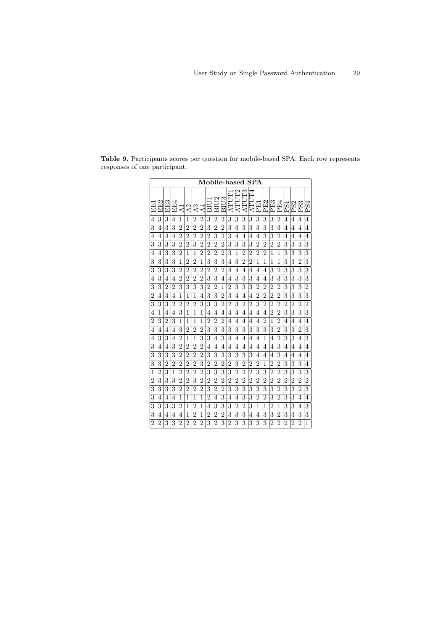|                |                 |                |                |                |                |                 |                |                |                | Mobile-based   |                |                |                | SPA            |                |                |                |                |                |                 |                |                |
|----------------|-----------------|----------------|----------------|----------------|----------------|-----------------|----------------|----------------|----------------|----------------|----------------|----------------|----------------|----------------|----------------|----------------|----------------|----------------|----------------|-----------------|----------------|----------------|
| i<br>E         | EF <sub>2</sub> | EE3            | EE4            | ď              | A2             | $\overline{A}3$ | $\overline{A}$ | Πs             | 21<br>БI       | BIU3           | Ē<br>ĄΤ        | Ę<br>AΤI       | P<br>ATU       | JT4<br>ATU     | PE1            | E2<br>Δ        | PE3            | PE4            | 53             | PS <sub>2</sub> | PS3            | PS4            |
| 4              | 3               | 3              | 4              | 1              | 1              | $\overline{2}$  | $\overline{2}$ | 3              | $\overline{2}$ | $\overline{2}$ | 3              | 3              | 3              | 3              | 3              | 3              | 3              | $\overline{2}$ | 4              | 4               | 4              | 4              |
| 3              | 4               | 3              | 3              | $\overline{2}$ | $\overline{2}$ | $\overline{2}$  | $\overline{2}$ | 3              | $\overline{2}$ | $\overline{2}$ | 3              | 3              | 3              | 3              | 3              | 3              | 3              | 3              | 4              | 4               | 4              | 4              |
| $\overline{4}$ | 4               | 4              | 4              | $\overline{2}$ | $\overline{2}$ | $\overline{2}$  | $\overline{2}$ | $\overline{2}$ | 3              | $\overline{2}$ | 3              | 4              | 4              | 4              | 4              | 3              | 3              | $\overline{2}$ | 4              | 4               | 4              | 4              |
| 3              | 3               | 3              | 3              | $\overline{2}$ | $\overline{2}$ | 3               | $\overline{2}$ | $\overline{2}$ | $\overline{2}$ | $\overline{2}$ | 3              | 3              | 3              | 3              | $\overline{2}$ | $\overline{2}$ | $\overline{2}$ | $\overline{2}$ | 3              | 3               | 3              | 3              |
| 4              | 4               | 3              | 3              | $\overline{2}$ | 1              | 1               | $\overline{2}$ | $\overline{2}$ | $\overline{2}$ | $\overline{2}$ | 3              | 1              | $\overline{2}$ | $\overline{2}$ | $\overline{2}$ | $\overline{2}$ | 1              | 1              | 3              | 3               | 3              | 3              |
| 3              | 3               | 3              | 3              | 1              | $\overline{2}$ | $\overline{2}$  | 1              | 3              | 3              | 3              | 4              | 3              | $\overline{2}$ | $\overline{2}$ | $\mathbf{1}$   | $\mathbf{1}$   | $\mathbf{1}$   | 1              | 3              | 3               | $\overline{2}$ | 3              |
| 3              | 3               | 3              | 3              | $\overline{2}$ | $\overline{2}$ | $\overline{2}$  | $\overline{2}$ | $\overline{2}$ | $\overline{2}$ | $\overline{2}$ | 4              | 4              | 4              | 4              | 4              | 4              | 3              | $\overline{2}$ | 3              | 3               | 3              | 3              |
| $\overline{4}$ | 3               | 4              | 4              | $\overline{2}$ | $\overline{2}$ | $\overline{2}$  | $\overline{2}$ | 3              | 3              | 4              | 4              | 3              | 3              | 3              | 4              | 4              | 3              | 3              | 3              | 3               | 3              | 3              |
| 3              | 3               | $\overline{2}$ | 2              | 3              | 3              | 3               | 3              | 2              | $\overline{2}$ | 1              | 2              | 3              | 3              | 3              | $\overline{2}$ | $\overline{2}$ | $\overline{2}$ | $\overline{2}$ | 3              | 3               | 3              | $\overline{2}$ |
| $\overline{2}$ | 4               | $\overline{4}$ | 4              | 1              | 1              | 1               | 4              | 3              | 3              | $\overline{2}$ | 3              | $\overline{4}$ | 4              | 4              | $\overline{2}$ | $\overline{2}$ | $\overline{2}$ | $\overline{2}$ | 3              | 3               | 3              | 3              |
| 3              | 3               | 3              | $\overline{2}$ | $\overline{2}$ | $\overline{2}$ | $\overline{2}$  | 3              | 3              | 3              | $\overline{2}$ | $\overline{2}$ | 3              | $\overline{2}$ | $\overline{2}$ | 3              | $\overline{2}$ | $\overline{2}$ | $\overline{2}$ | $\overline{2}$ | $\overline{2}$  | $\overline{2}$ | $\overline{2}$ |
| $\overline{4}$ | 1               | $\overline{4}$ | $\overline{4}$ | 3              | 1              | 1               | 1              | 4              | 4              | $\overline{4}$ | 4              | 4              | 4              | 4              | $\overline{4}$ | 4              | $\overline{2}$ | $\overline{2}$ | 3              | 3               | 3              | 3              |
| $\overline{2}$ | 3               | $\overline{2}$ | 3              | 1              | 1              | 1               | 1              | $\overline{2}$ | $\overline{2}$ | $\overline{2}$ | 4              | 4              | 4              | 4              | 4              | $\overline{2}$ | 1              | $\overline{2}$ | 4              | 4               | 4              | 4              |
| $\overline{4}$ | 4               | 4              | 4              | 3              | $\overline{2}$ | $\overline{2}$  | $\overline{2}$ | 3              | 3              | 3              | 3              | 3              | 3              | 3              | 3              | 3              | 3              | $\overline{2}$ | 3              | 3               | $\overline{2}$ | 3              |
| 4              | 3               | 3              | 4              | $\overline{2}$ | 1              | 1               | 3              | 3              | 4              | 3              | 4              | 4              | 4              | 4              | 4              | 1              | 4              | $\overline{2}$ | 3              | 3               | 4              | 3              |
| 3              | 4               | 4              | 3              | $\overline{2}$ | $\overline{2}$ | $\overline{2}$  | $\overline{2}$ | 4              | 4              | 4              | 4              | 4              | 4              | 4              | 4              | 4              | 4              | 3              | 4              | 4               | 4              | 4              |
| 3              | 3               | 3              | 3              | $\overline{2}$ | $\overline{2}$ | $\overline{2}$  | $\overline{2}$ | 3              | 3              | 3              | 3              | 3              | 3              | 3              | $\overline{4}$ | 4              | 4              | 3              | 4              | 4               | 4              | 4              |
| 3              | 3               | $\overline{2}$ | $\overline{2}$ | $\overline{2}$ | $\overline{2}$ | $\overline{2}$  | 3              | 2              | $\overline{2}$ | $\overline{2}$ | $\overline{2}$ | 3              | $\overline{2}$ | $\overline{2}$ | $\overline{2}$ | 1              | $\overline{2}$ | 2              | 3              | 3               | 3              | 4              |
| 1              | $\overline{2}$  | 3              | 1              | $\overline{2}$ | $\overline{2}$ | $\overline{2}$  | $\overline{2}$ | 3              | 3              | 3              | 3              | $\overline{2}$ | $\overline{2}$ | $\overline{2}$ | 3              | 3              | $\overline{2}$ | $\overline{2}$ | 3              | 3               | 3              | 3              |
| $\overline{2}$ | 3               | 3              | 3              | $\overline{2}$ | $\overline{2}$ | 3               | $\overline{2}$ | $\overline{2}$ | $\overline{2}$ | $\overline{2}$ | $\overline{2}$ | $\overline{2}$ | $\overline{2}$ | $\overline{2}$ | $\overline{2}$ | $\overline{2}$ | $\overline{2}$ | $\overline{2}$ | $\overline{2}$ | $\overline{2}$  | $\overline{2}$ | $\overline{2}$ |
| 3              | 3               | 3              | 3              | $\overline{2}$ | $\overline{2}$ | $\overline{2}$  | $\overline{2}$ | 3              | $\overline{2}$ | $\overline{2}$ | 3              | 3              | 3              | 3              | 3              | 3              | 3              | $\overline{2}$ | 3              | 3               | $\overline{2}$ | 3              |
| 3              | 4               | 4              | 4              | 1              | 1              | 1               | 1              | $\overline{2}$ | 4              | 3              | 4              | 4              | 3              | 3              | $\overline{2}$ | $\overline{2}$ | 3              | $\overline{2}$ | 3              | 3               | 4              | 4              |
| 3              | 3               | 3              | 3              | $\overline{2}$ | 1              | $\overline{2}$  | 1              | 4              | 3              | 3              | 3              | $\overline{2}$ | $\overline{2}$ | 3              | 1              | $\mathbf{1}$   | $\overline{2}$ | 1              | 3              | 3               | 4              | 3              |
| 3              | 4               | 4              | 4              | 4              | 1              | $\overline{2}$  | 1              | $\overline{2}$ | $\overline{2}$ | $\overline{2}$ | 3              | 3              | 3              | 4              | 4              | 3              | 3              | $\overline{2}$ | 3              | 3               | 3              | 3              |
| $\overline{2}$ | $\overline{2}$  | 3              | 3              | $\overline{2}$ | $\overline{2}$ | $\overline{2}$  | $\overline{2}$ | 3              | $\overline{2}$ | 3              | $\overline{2}$ | 3              | 3              | 3              | 3              | 3              | $\overline{2}$ | $\overline{2}$ | $\overline{2}$ | $\overline{2}$  | $\overline{2}$ | 1              |

**Table 9.** Participants scores per question for mobile-based SPA. Each row represents responses of one participant.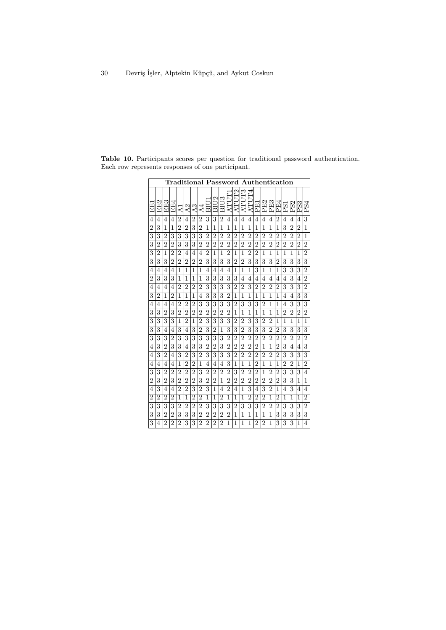| Traditional<br>Password<br>${\bf \small{Authentication}}$ |                |                |                |                |                |                |                |                |                |                  |                |                |                |                |                |                |                |                |                |                 |                |                |
|-----------------------------------------------------------|----------------|----------------|----------------|----------------|----------------|----------------|----------------|----------------|----------------|------------------|----------------|----------------|----------------|----------------|----------------|----------------|----------------|----------------|----------------|-----------------|----------------|----------------|
| 田田                                                        | EE2            | EE3            | EE4            | ⋖              | A2             | S<br>₫         | ↴<br>⋖         | $\Xi$          | BIU2           | BIU <sub>3</sub> | Ē<br>Ē<br>₹    | P<br>Ē<br>⋖    | ဌ<br>Ē<br>⋖    | F4<br>Ē<br>⋖   | 日<br>۵         | E2<br>'n.      | PE3            | PE4            | РS1            | PS <sub>2</sub> | PS3            | PS4            |
| 4                                                         | 4              | 4              | 4              | $\overline{2}$ | 4              | $\overline{2}$ | $\overline{2}$ | 3              | 3              | $\overline{2}$   | 4              | 4              | 4              | $\overline{4}$ | 4              | 4              | 4              | $\overline{2}$ | 4              | 4               | 4              | 3              |
| $\overline{2}$                                            | 3              | 1              | 1              | $\overline{2}$ | $\overline{2}$ | 3              | $\overline{2}$ | 1              | 1              | 1                | 1              | 1              | 1              | 1              | 1              | 1              | 1              | 1              | 3              | $\overline{2}$  | $\overline{2}$ | 1              |
| 3                                                         | 3              | $\overline{2}$ | 3              | 3              | 3              | 3              | 3              | $\overline{2}$ | $\overline{2}$ | $\overline{2}$   | $\overline{2}$ | $\overline{2}$ | $\overline{2}$ | 2              | $\overline{2}$ | $\overline{2}$ | $\overline{2}$ | $\overline{2}$ | $\overline{2}$ | $\overline{2}$  | 2              | 1              |
| 3                                                         | $\overline{2}$ | $\overline{2}$ | $\overline{2}$ | 3              | 3              | 3              | $\overline{2}$ | $\overline{2}$ | $\overline{2}$ | $\overline{2}$   | $\overline{2}$ | $\overline{2}$ | $\overline{2}$ | $\overline{2}$ | $\overline{2}$ | $\overline{2}$ | $\overline{2}$ | $\overline{2}$ | $\overline{2}$ | $\overline{2}$  | $\overline{2}$ | $\overline{2}$ |
| 3                                                         | $\overline{2}$ | 1              | $\overline{2}$ | $\overline{2}$ | 4              | 4              | 4              | $\overline{2}$ | 1              | 1                | $\overline{2}$ | 1              | 1              | $\overline{2}$ | $\overline{2}$ | 1              | 1              | 1              | 1              | 1               | 1              | $\overline{2}$ |
| 3                                                         | 3              | 3              | $\overline{2}$ | $\overline{2}$ | $\overline{2}$ | $\overline{2}$ | $\overline{2}$ | 3              | 3              | 3                | 3              | $\overline{2}$ | $\overline{2}$ | 3              | 3              | 3              | 3              | $\overline{2}$ | 3              | 3               | 3              | 3              |
| 4                                                         | 4              | 4              | 4              | 1              | 1              | 1              | 1              | 4              | 4              | 4                | 4              | 1              | 1              | 1              | 3              | 1              | 1              | 1              | 3              | 3               | 3              | $\overline{2}$ |
| $\overline{2}$                                            | 3              | 3              | 3              | 1              | 1              | 1              | 1              | 3              | 3              | 3                | 3              | 3              | 4              | 4              | 4              | 4              | 4              | 4              | 4              | 3               | 4              | $\overline{2}$ |
| 4                                                         | 4              | 4              | 4              | $\overline{2}$ | $\overline{2}$ | $\overline{2}$ | $\overline{2}$ | 3              | 3              | 3                | 3              | $\overline{2}$ | $\overline{2}$ | 3              | $\overline{2}$ | $\overline{2}$ | $\overline{2}$ | $\overline{2}$ | 3              | 3               | 3              | $\overline{2}$ |
| 3                                                         | $\overline{2}$ | 1              | $\overline{2}$ | 1              | 1              | 1              | 4              | 3              | 3              | 3                | $\overline{2}$ | 1              | 1              | 1              | 1              | 1              | 1              | 1              | 4              | 4               | 3              | 3              |
| 4                                                         | 4              | 4              | 4              | $\overline{2}$ | $\overline{2}$ | $\overline{2}$ | 3              | 3              | 3              | 3                | 3              | $\overline{2}$ | 3              | 3              | 3              | $\overline{2}$ | 1              | 1              | 4              | 3               | 3              | 3              |
| 3                                                         | 3              | $\overline{2}$ | 3              | $\overline{2}$ | $\overline{2}$ | $\overline{2}$ | 2              | $\overline{2}$ | $\overline{2}$ | $\overline{2}$   | 2              | 1              | 1              | 1              | 1              | 1              | 1              | 1              | $\overline{2}$ | $\overline{2}$  | $\overline{2}$ | $\overline{2}$ |
| 3                                                         | 3              | 3              | 3              | 1              | $\overline{2}$ | 1              | $\overline{2}$ | 3              | 3              | 3                | 3              | $\overline{2}$ | $\overline{2}$ | 3              | 3              | $\overline{2}$ | $\overline{2}$ | 1              | 1              | 1               | 1              | 1              |
| 3                                                         | 3              | 4              | 4              | 3              | 4              | 3              | 2              | 3              | $\overline{2}$ | 1                | 3              | 3              | $\overline{2}$ | 3              | 3              | 3              | $\overline{2}$ | $\overline{2}$ | 3              | 3               | 3              | 3              |
| 3                                                         | 3              | 3              | $\overline{2}$ | 3              | 3              | 3              | 3              | 3              | 3              | 3                | $\overline{2}$ | $\overline{2}$ | $\overline{2}$ | $\overline{2}$ | $\overline{2}$ | $\overline{2}$ | $\overline{2}$ | $\overline{2}$ | $\overline{2}$ | $\overline{2}$  | $\overline{2}$ | $\overline{2}$ |
| 4                                                         | 3              | $\overline{2}$ | 3              | 3              | 4              | 3              | 3              | $\overline{2}$ | $\overline{2}$ | 3                | $\overline{2}$ | $\overline{2}$ | $\overline{2}$ | $\overline{2}$ | $\overline{2}$ | 1              | 1              | $\overline{2}$ | 3              | 4               | 4              | 3              |
| $\overline{4}$                                            | 3              | $\overline{2}$ | 4              | 3              | $\overline{2}$ | 3              | $\overline{2}$ | 3              | 3              | 3                | 3              | $\overline{2}$ | $\overline{2}$ | $\overline{2}$ | $\overline{2}$ | $\overline{2}$ | $\overline{2}$ | $\overline{2}$ | 3              | 3               | 3              | 3              |
| $\overline{4}$                                            | 4              | 4              | 4              | 1              | $\overline{2}$ | $\overline{2}$ | 1              | 4              | 4              | 4                | 3              | 1              | 1              | 1              | $\overline{2}$ | 1              | 1              | 1              | $\overline{2}$ | $\overline{2}$  | 1              | $\overline{2}$ |
| 3                                                         | 3              | $\overline{2}$ | $\overline{2}$ | $\overline{2}$ | $\overline{2}$ | $\overline{2}$ | 3              | $\overline{2}$ | $\overline{2}$ | $\overline{2}$   | $\overline{2}$ | 3              | $\overline{2}$ | $\overline{2}$ | $\overline{2}$ | 1              | $\overline{2}$ | $\overline{2}$ | 3              | 3               | 3              | 4              |
| $\overline{2}$                                            | 3              | $\overline{2}$ | 3              | $\overline{2}$ | $\overline{2}$ | $\overline{2}$ | 3              | $\overline{2}$ | $\overline{2}$ | 1                | $\overline{2}$ | $\overline{2}$ | $\overline{2}$ | $\overline{2}$ | $\overline{2}$ | $\overline{2}$ | $\overline{2}$ | $\overline{2}$ | 3              | 3               | 1              | 1              |
| $\overline{4}$                                            | 3              | $\overline{4}$ | 4              | $\overline{2}$ | $\overline{2}$ | 3              | $\overline{2}$ | 3              | 1              | 4                | $\overline{2}$ | 4              | 1              | 3              | 4              | 3              | $\overline{2}$ | 1              | 4              | 3               | 4              | 4              |
| $\overline{2}$                                            | $\overline{2}$ | $\overline{2}$ | $\overline{2}$ | 1              | 1              | $\overline{2}$ | $\overline{2}$ | 1              | 1              | $\overline{2}$   | 1              | 1              | 1              | 2              | 2              | $\overline{2}$ | 1              | 2              | 1              | 1               | 1              | $\overline{2}$ |
| 3                                                         | 3              | 3              | 3              | $\overline{2}$ | $\overline{2}$ | $\overline{2}$ | $\overline{2}$ | 3              | 3              | 3                | 3              | $\overline{2}$ | 3              | 3              | 3              | $\overline{2}$ | $\overline{2}$ | $\overline{2}$ | 3              | 3               | 3              | $\overline{2}$ |
| 3                                                         | 3              | $\overline{2}$ | $\overline{2}$ | 3              | 3              | 3              | $\overline{2}$ | $\overline{2}$ | $\overline{2}$ | $\overline{2}$   | $\overline{2}$ | 1              | 1              | 1              | 1              | 1              | 1              | 3              | 3              | 3               | 3              | 3              |
| 3                                                         | 4              | $\overline{2}$ | $\overline{2}$ | $\overline{2}$ | 3              | 3              | $\overline{2}$ | $\overline{2}$ | $\overline{2}$ | $\overline{2}$   | 1              | 1              | 1              | 1              | $\overline{2}$ | $\overline{2}$ | 1              | 3              | 3              | 3               | 1              | $\overline{4}$ |

**Table 10.** Participants scores per question for traditional password authentication. Each row represents responses of one participant.